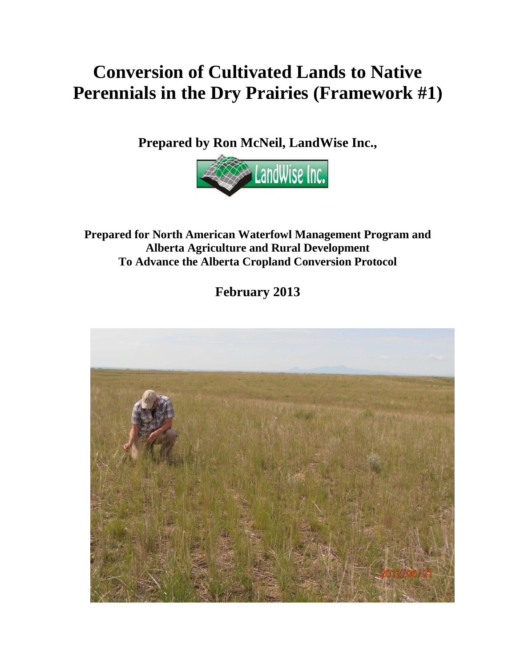# **Conversion of Cultivated Lands to Native Perennials in the Dry Prairies (Framework #1)**

**Prepared by Ron McNeil, LandWise Inc.,**



**Prepared for North American Waterfowl Management Program and Alberta Agriculture and Rural Development To Advance the Alberta Cropland Conversion Protocol**

**February 2013**

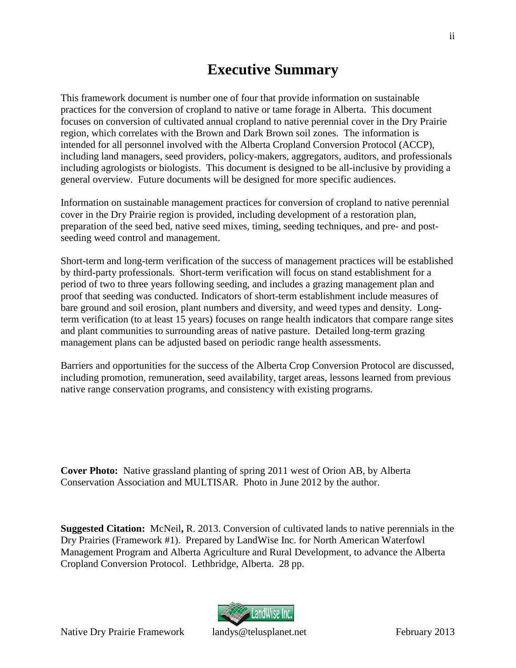## <span id="page-1-0"></span>**Executive Summary**

This framework document is number one of four that provide information on sustainable practices for the conversion of cropland to native or tame forage in Alberta. This document focuses on conversion of cultivated annual cropland to native perennial cover in the Dry Prairie region, which correlates with the Brown and Dark Brown soil zones. The information is intended for all personnel involved with the Alberta Cropland Conversion Protocol (ACCP), including land managers, seed providers, policy-makers, aggregators, auditors, and professionals including agrologists or biologists. This document is designed to be all-inclusive by providing a general overview. Future documents will be designed for more specific audiences.

Information on sustainable management practices for conversion of cropland to native perennial cover in the Dry Prairie region is provided, including development of a restoration plan, preparation of the seed bed, native seed mixes, timing, seeding techniques, and pre- and postseeding weed control and management.

Short-term and long-term verification of the success of management practices will be established by third-party professionals. Short-term verification will focus on stand establishment for a period of two to three years following seeding, and includes a grazing management plan and proof that seeding was conducted. Indicators of short-term establishment include measures of bare ground and soil erosion, plant numbers and diversity, and weed types and density. Longterm verification (to at least 15 years) focuses on range health indicators that compare range sites and plant communities to surrounding areas of native pasture. Detailed long-term grazing management plans can be adjusted based on periodic range health assessments.

Barriers and opportunities for the success of the Alberta Crop Conversion Protocol are discussed, including promotion, remuneration, seed availability, target areas, lessons learned from previous native range conservation programs, and consistency with existing programs.

**Cover Photo:** Native grassland planting of spring 2011 west of Orion AB, by Alberta Conservation Association and MULTISAR. Photo in June 2012 by the author.

**Suggested Citation:** McNeil**,** R. 2013. Conversion of cultivated lands to native perennials in the Dry Prairies (Framework #1). Prepared by LandWise Inc. for North American Waterfowl Management Program and Alberta Agriculture and Rural Development, to advance the Alberta Cropland Conversion Protocol. Lethbridge, Alberta. 28 pp.

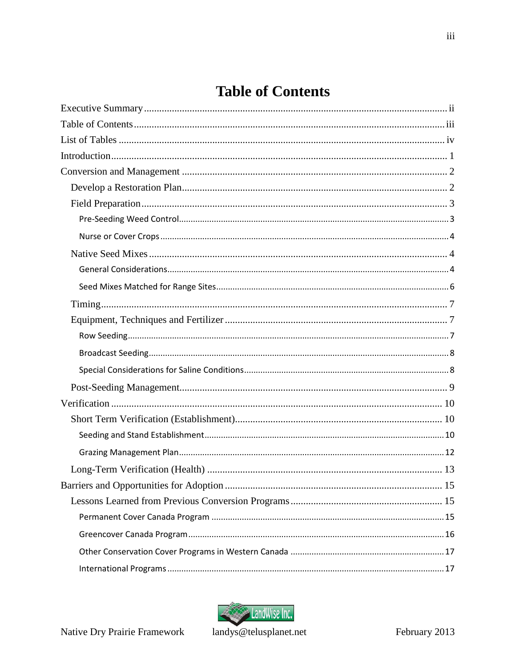## <span id="page-2-0"></span>**Table of Contents**



landys@telusplanet.net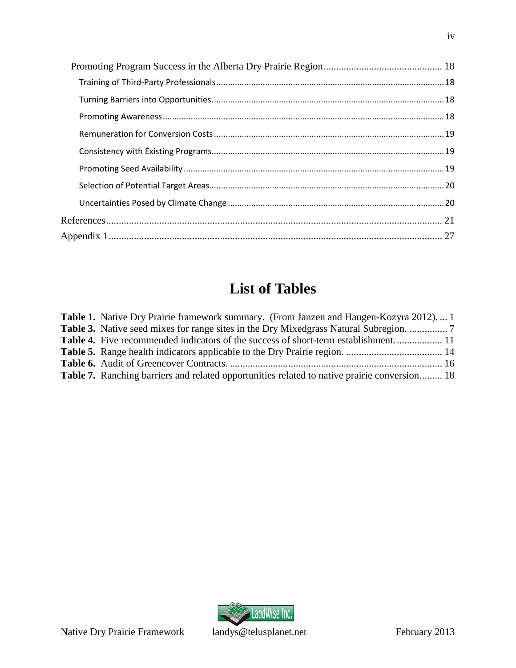# <span id="page-3-0"></span>**List of Tables**

| <b>Table 1.</b> Native Dry Prairie framework summary. (From Janzen and Haugen-Kozyra 2012).  1      |  |
|-----------------------------------------------------------------------------------------------------|--|
|                                                                                                     |  |
| <b>Table 4.</b> Five recommended indicators of the success of short-term establishment 11           |  |
|                                                                                                     |  |
|                                                                                                     |  |
| <b>Table 7.</b> Ranching barriers and related opportunities related to native prairie conversion 18 |  |

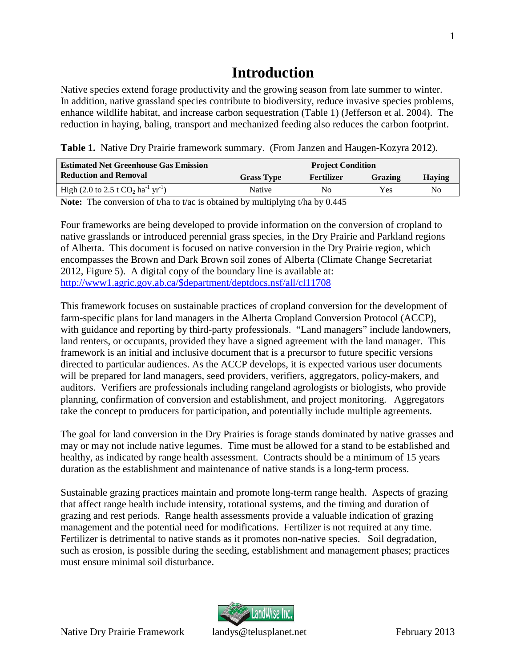## <span id="page-4-0"></span>**Introduction**

Native species extend forage productivity and the growing season from late summer to winter. In addition, native grassland species contribute to biodiversity, reduce invasive species problems, enhance wildlife habitat, and increase carbon sequestration (Table 1) (Jefferson et al. 2004). The reduction in haying, baling, transport and mechanized feeding also reduces the carbon footprint.

<span id="page-4-1"></span>**Table 1.** Native Dry Prairie framework summary. (From Janzen and Haugen-Kozyra 2012).

| <b>Estimated Net Greenhouse Gas Emission</b>                  | <b>Project Condition</b> |            |         |               |  |  |  |
|---------------------------------------------------------------|--------------------------|------------|---------|---------------|--|--|--|
| <b>Reduction and Removal</b>                                  | <b>Grass Type</b>        | Fertilizer | Grazing | <b>Having</b> |  |  |  |
| High (2.0 to 2.5 t $CO_2$ ha <sup>-1</sup> yr <sup>-1</sup> ) | <b>Native</b>            | No         | Yes     | No            |  |  |  |

**Note:** The conversion of t/ha to t/ac is obtained by multiplying t/ha by 0.445

Four frameworks are being developed to provide information on the conversion of cropland to native grasslands or introduced perennial grass species, in the Dry Prairie and Parkland regions of Alberta. This document is focused on native conversion in the Dry Prairie region, which encompasses the Brown and Dark Brown soil zones of Alberta (Climate Change Secretariat 2012, Figure 5). A digital copy of the boundary line is available at: http://www1.agric.gov.ab.ca/\$department/deptdocs.nsf/all/cl11708

This framework focuses on sustainable practices of cropland conversion for the development of farm-specific plans for land managers in the Alberta Cropland Conversion Protocol (ACCP), with guidance and reporting by third-party professionals. "Land managers" include landowners, land renters, or occupants, provided they have a signed agreement with the land manager. This framework is an initial and inclusive document that is a precursor to future specific versions directed to particular audiences. As the ACCP develops, it is expected various user documents will be prepared for land managers, seed providers, verifiers, aggregators, policy-makers, and auditors. Verifiers are professionals including rangeland agrologists or biologists, who provide planning, confirmation of conversion and establishment, and project monitoring. Aggregators take the concept to producers for participation, and potentially include multiple agreements.

The goal for land conversion in the Dry Prairies is forage stands dominated by native grasses and may or may not include native legumes. Time must be allowed for a stand to be established and healthy, as indicated by range health assessment. Contracts should be a minimum of 15 years duration as the establishment and maintenance of native stands is a long-term process.

Sustainable grazing practices maintain and promote long-term range health. Aspects of grazing that affect range health include intensity, rotational systems, and the timing and duration of grazing and rest periods. Range health assessments provide a valuable indication of grazing management and the potential need for modifications. Fertilizer is not required at any time. Fertilizer is detrimental to native stands as it promotes non-native species. Soil degradation, such as erosion, is possible during the seeding, establishment and management phases; practices must ensure minimal soil disturbance.

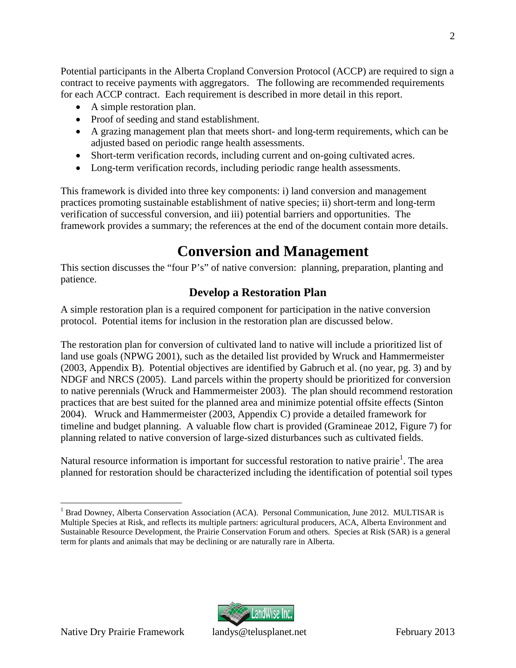Potential participants in the Alberta Cropland Conversion Protocol (ACCP) are required to sign a contract to receive payments with aggregators. The following are recommended requirements for each ACCP contract. Each requirement is described in more detail in this report.

- A simple restoration plan.
- Proof of seeding and stand establishment.
- A grazing management plan that meets short- and long-term requirements, which can be adjusted based on periodic range health assessments.
- Short-term verification records, including current and on-going cultivated acres.
- Long-term verification records, including periodic range health assessments.

This framework is divided into three key components: i) land conversion and management practices promoting sustainable establishment of native species; ii) short-term and long-term verification of successful conversion, and iii) potential barriers and opportunities. The framework provides a summary; the references at the end of the document contain more details.

## <span id="page-5-0"></span>**Conversion and Management**

This section discusses the "four P's" of native conversion: planning, preparation, planting and patience.

## <span id="page-5-1"></span>**Develop a Restoration Plan**

A simple restoration plan is a required component for participation in the native conversion protocol. Potential items for inclusion in the restoration plan are discussed below.

The restoration plan for conversion of cultivated land to native will include a prioritized list of land use goals (NPWG 2001), such as the detailed list provided by Wruck and Hammermeister (2003, Appendix B). Potential objectives are identified by Gabruch et al. (no year, pg. 3) and by NDGF and NRCS (2005). Land parcels within the property should be prioritized for conversion to native perennials (Wruck and Hammermeister 2003). The plan should recommend restoration practices that are best suited for the planned area and minimize potential offsite effects (Sinton 2004). Wruck and Hammermeister (2003, Appendix C) provide a detailed framework for timeline and budget planning. A valuable flow chart is provided (Gramineae 2012, Figure 7) for planning related to native conversion of large-sized disturbances such as cultivated fields.

Naturalr[e](#page-5-2)source information is important for successful restoration to native prairie<sup>1</sup>. The area planned for restoration should be characterized including the identification of potential soil types



<span id="page-5-2"></span><sup>&</sup>lt;sup>1</sup> Brad Downey, Alberta Conservation Association (ACA). Personal Communication, June 2012. MULTISAR is Multiple Species at Risk, and reflects its multiple partners: agricultural producers, ACA, Alberta Environment and Sustainable Resource Development, the Prairie Conservation Forum and others. Species at Risk (SAR) is a general term for plants and animals that may be declining or are naturally rare in Alberta.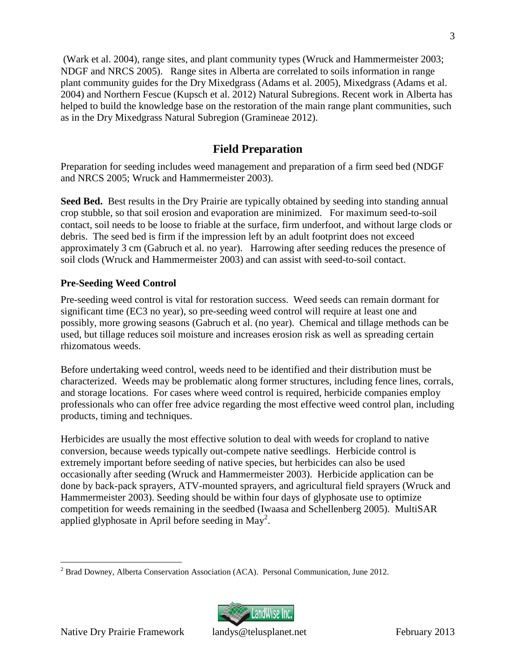(Wark et al. 2004), range sites, and plant community types (Wruck and Hammermeister 2003; NDGF and NRCS 2005). Range sites in Alberta are correlated to soils information in range plant community guides for the Dry Mixedgrass (Adams et al. 2005), Mixedgrass (Adams et al. 2004) and Northern Fescue (Kupsch et al. 2012) Natural Subregions. Recent work in Alberta has helped to build the knowledge base on the restoration of the main range plant communities, such as in the Dry Mixedgrass Natural Subregion (Gramineae 2012).

## <span id="page-6-0"></span>**Field Preparation**

Preparation for seeding includes weed management and preparation of a firm seed bed (NDGF and NRCS 2005; Wruck and Hammermeister 2003).

**Seed Bed.** Best results in the Dry Prairie are typically obtained by seeding into standing annual crop stubble, so that soil erosion and evaporation are minimized. For maximum seed-to-soil contact, soil needs to be loose to friable at the surface, firm underfoot, and without large clods or debris. The seed bed is firm if the impression left by an adult footprint does not exceed approximately 3 cm (Gabruch et al. no year). Harrowing after seeding reduces the presence of soil clods (Wruck and Hammermeister 2003) and can assist with seed-to-soil contact.

#### <span id="page-6-1"></span>**Pre-Seeding Weed Control**

Pre-seeding weed control is vital for restoration success. Weed seeds can remain dormant for significant time (EC3 no year), so pre-seeding weed control will require at least one and possibly, more growing seasons (Gabruch et al. (no year). Chemical and tillage methods can be used, but tillage reduces soil moisture and increases erosion risk as well as spreading certain rhizomatous weeds.

Before undertaking weed control, weeds need to be identified and their distribution must be characterized. Weeds may be problematic along former structures, including fence lines, corrals, and storage locations. For cases where weed control is required, herbicide companies employ professionals who can offer free advice regarding the most effective weed control plan, including products, timing and techniques.

Herbicides are usually the most effective solution to deal with weeds for cropland to native conversion, because weeds typically out-compete native seedlings. Herbicide control is extremely important before seeding of native species, but herbicides can also be used occasionally after seeding (Wruck and Hammermeister 2003). Herbicide application can be done by back-pack sprayers, ATV-mounted sprayers, and agricultural field sprayers (Wruck and Hammermeister 2003). Seeding should be within four days of glyphosate use to optimize competition for weeds remaining in the seedbed (Iwaasa and Schellenberg 2005). MultiSAR appliedgl[y](#page-6-2)phosate in April before seeding in  $\text{May}^2$ .

<span id="page-6-2"></span><sup>2</sup> Brad Downey, Alberta Conservation Association (ACA). Personal Communication, June 2012.

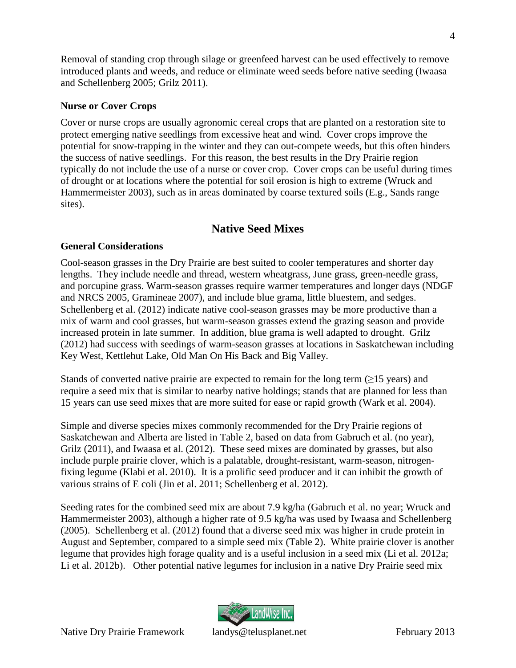Removal of standing crop through silage or greenfeed harvest can be used effectively to remove introduced plants and weeds, and reduce or eliminate weed seeds before native seeding (Iwaasa and Schellenberg 2005; Grilz 2011).

#### <span id="page-7-0"></span>**Nurse or Cover Crops**

Cover or nurse crops are usually agronomic cereal crops that are planted on a restoration site to protect emerging native seedlings from excessive heat and wind. Cover crops improve the potential for snow-trapping in the winter and they can out-compete weeds, but this often hinders the success of native seedlings. For this reason, the best results in the Dry Prairie region typically do not include the use of a nurse or cover crop. Cover crops can be useful during times of drought or at locations where the potential for soil erosion is high to extreme (Wruck and Hammermeister 2003), such as in areas dominated by coarse textured soils (E.g., Sands range sites).

## <span id="page-7-1"></span>**Native Seed Mixes**

### <span id="page-7-2"></span>**General Considerations**

Cool-season grasses in the Dry Prairie are best suited to cooler temperatures and shorter day lengths. They include needle and thread, western wheatgrass, June grass, green-needle grass, and porcupine grass. Warm-season grasses require warmer temperatures and longer days (NDGF and NRCS 2005, Gramineae 2007), and include blue grama, little bluestem, and sedges. Schellenberg et al. (2012) indicate native cool-season grasses may be more productive than a mix of warm and cool grasses, but warm-season grasses extend the grazing season and provide increased protein in late summer. In addition, blue grama is well adapted to drought. Grilz (2012) had success with seedings of warm-season grasses at locations in Saskatchewan including Key West, Kettlehut Lake, Old Man On His Back and Big Valley.

Stands of converted native prairie are expected to remain for the long term  $(\geq 15$  years) and require a seed mix that is similar to nearby native holdings; stands that are planned for less than 15 years can use seed mixes that are more suited for ease or rapid growth (Wark et al. 2004).

Simple and diverse species mixes commonly recommended for the Dry Prairie regions of Saskatchewan and Alberta are listed in Table 2, based on data from Gabruch et al. (no year), Grilz (2011), and Iwaasa et al. (2012). These seed mixes are dominated by grasses, but also include purple prairie clover, which is a palatable, drought-resistant, warm-season, nitrogenfixing legume (Klabi et al. 2010). It is a prolific seed producer and it can inhibit the growth of various strains of E coli (Jin et al. 2011; Schellenberg et al. 2012).

Seeding rates for the combined seed mix are about 7.9 kg/ha (Gabruch et al. no year; Wruck and Hammermeister 2003), although a higher rate of 9.5 kg/ha was used by Iwaasa and Schellenberg (2005). Schellenberg et al. (2012) found that a diverse seed mix was higher in crude protein in August and September, compared to a simple seed mix (Table 2). White prairie clover is another legume that provides high forage quality and is a useful inclusion in a seed mix (Li et al. 2012a; Li et al. 2012b). Other potential native legumes for inclusion in a native Dry Prairie seed mix

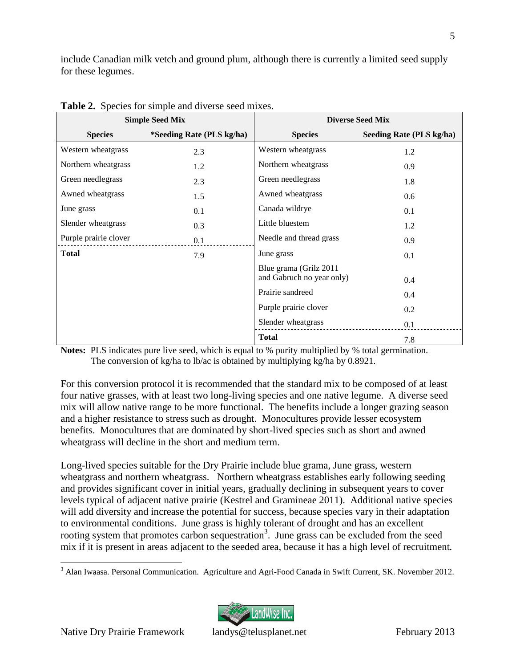include Canadian milk vetch and ground plum, although there is currently a limited seed supply for these legumes.

|                       | <b>Simple Seed Mix</b>    | <b>Diverse Seed Mix</b>   |                          |  |  |
|-----------------------|---------------------------|---------------------------|--------------------------|--|--|
| <b>Species</b>        | *Seeding Rate (PLS kg/ha) | <b>Species</b>            | Seeding Rate (PLS kg/ha) |  |  |
| Western wheatgrass    | 2.3                       | Western wheatgrass        | 1.2                      |  |  |
| Northern wheatgrass   | 1.2                       | Northern wheatgrass       | 0.9                      |  |  |
| Green needlegrass     | 2.3                       | Green needlegrass         | 1.8                      |  |  |
| Awned wheatgrass      | 1.5                       | Awned wheatgrass          | 0.6                      |  |  |
| June grass            | 0.1                       | Canada wildrye            | 0.1                      |  |  |
| Slender wheatgrass    | 0.3                       | Little bluestem           | 1.2                      |  |  |
| Purple prairie clover | 0.1                       | Needle and thread grass   | 0.9                      |  |  |
| <b>Total</b>          | 7.9                       | June grass                | 0.1                      |  |  |
|                       |                           | Blue grama (Grilz 2011    |                          |  |  |
|                       |                           | and Gabruch no year only) | 0.4                      |  |  |
|                       |                           | Prairie sandreed          | 0.4                      |  |  |
|                       |                           | Purple prairie clover     | 0.2                      |  |  |
|                       |                           | Slender wheatgrass        | 0.1                      |  |  |
|                       |                           | <b>Total</b>              | 7.8                      |  |  |

**Table 2.** Species for simple and diverse seed mixes.

**Notes:** PLS indicates pure live seed, which is equal to % purity multiplied by % total germination. The conversion of kg/ha to lb/ac is obtained by multiplying kg/ha by 0.8921.

For this conversion protocol it is recommended that the standard mix to be composed of at least four native grasses, with at least two long-living species and one native legume. A diverse seed mix will allow native range to be more functional. The benefits include a longer grazing season and a higher resistance to stress such as drought. Monocultures provide lesser ecosystem benefits. Monocultures that are dominated by short-lived species such as short and awned wheatgrass will decline in the short and medium term.

Long-lived species suitable for the Dry Prairie include blue grama, June grass, western wheatgrass and northern wheatgrass. Northern wheatgrass establishes early following seeding and provides significant cover in initial years, gradually declining in subsequent years to cover levels typical of adjacent native prairie (Kestrel and Gramineae 2011). Additional native species will add diversity and increase the potential for success, because species vary in their adaptation to environmental conditions. June grass is highly tolerant of drought and has an excellent rooting system that promotes carbon sequestration<sup>[3](#page-8-0)</sup>. June grass can be excluded from the seed mix if it is present in areas adjacent to the seeded area, because it has a high level of recruitment*.*

<span id="page-8-0"></span><sup>3</sup> Alan Iwaasa. Personal Communication. Agriculture and Agri-Food Canada in Swift Current, SK. November 2012.

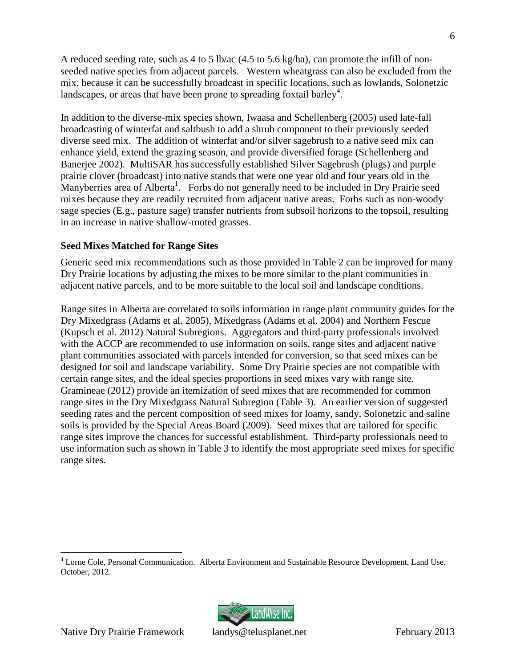A reduced seeding rate, such as 4 to 5 lb/ac (4.5 to 5.6 kg/ha), can promote the infill of nonseeded native species from adjacent parcels. Western wheatgrass can also be excluded from the mix, because it can be successfully broadcast in specific locations, such as lowlands, Solonetzic landscapes, or areas that have been prone to spreading foxtail barley<sup>[4](#page-9-1)</sup>.

In addition to the diverse-mix species shown, Iwaasa and Schellenberg (2005) used late-fall broadcasting of winterfat and saltbush to add a shrub component to their previously seeded diverse seed mix. The addition of winterfat and/or silver sagebrush to a native seed mix can enhance yield, extend the grazing season, and provide diversified forage (Schellenberg and Banerjee 2002). MultiSAR has successfully established Silver Sagebrush (plugs) and purple prairie clover (broadcast) into native stands that were one year old and four years old in the Manyberries area of Alberta<sup>1</sup>. Forbs do not generally need to be included in Dry Prairie seed mixes because they are readily recruited from adjacent native areas. Forbs such as non-woody sage species (E.g., pasture sage) transfer nutrients from subsoil horizons to the topsoil, resulting in an increase in native shallow-rooted grasses.

#### <span id="page-9-0"></span>**Seed Mixes Matched for Range Sites**

Generic seed mix recommendations such as those provided in Table 2 can be improved for many Dry Prairie locations by adjusting the mixes to be more similar to the plant communities in adjacent native parcels, and to be more suitable to the local soil and landscape conditions.

Range sites in Alberta are correlated to soils information in range plant community guides for the Dry Mixedgrass (Adams et al. 2005), Mixedgrass (Adams et al. 2004) and Northern Fescue (Kupsch et al. 2012) Natural Subregions. Aggregators and third-party professionals involved with the ACCP are recommended to use information on soils, range sites and adjacent native plant communities associated with parcels intended for conversion, so that seed mixes can be designed for soil and landscape variability. Some Dry Prairie species are not compatible with certain range sites, and the ideal species proportions in seed mixes vary with range site. Gramineae (2012) provide an itemization of seed mixes that are recommended for common range sites in the Dry Mixedgrass Natural Subregion (Table 3). An earlier version of suggested seeding rates and the percent composition of seed mixes for loamy, sandy, Solonetzic and saline soils is provided by the Special Areas Board (2009). Seed mixes that are tailored for specific range sites improve the chances for successful establishment. Third-party professionals need to use information such as shown in Table 3 to identify the most appropriate seed mixes for specific range sites.

<span id="page-9-1"></span><sup>4</sup> Lorne Cole, Personal Communication. Alberta Environment and Sustainable Resource Development, Land Use. October, 2012.

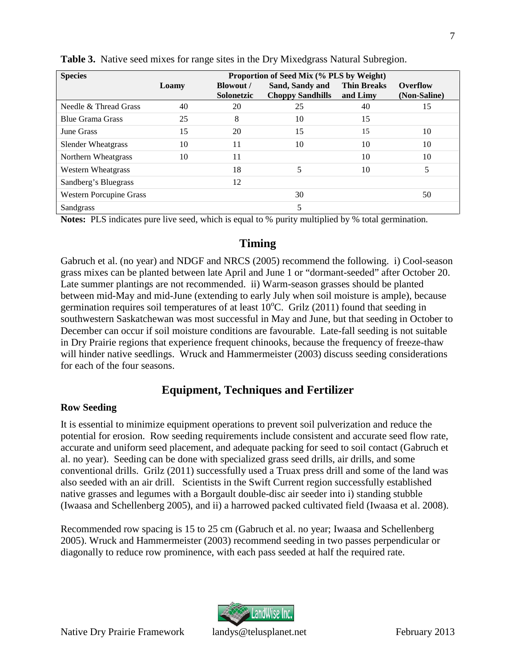| <b>Species</b>                 | <b>Proportion of Seed Mix (% PLS by Weight)</b> |                                       |                                            |                                |                          |  |  |  |  |
|--------------------------------|-------------------------------------------------|---------------------------------------|--------------------------------------------|--------------------------------|--------------------------|--|--|--|--|
|                                | Loamy                                           | <b>Blowout</b> /<br><b>Solonetzic</b> | Sand, Sandy and<br><b>Choppy Sandhills</b> | <b>Thin Breaks</b><br>and Limy | Overflow<br>(Non-Saline) |  |  |  |  |
| Needle & Thread Grass          | 40                                              | 20                                    | 25                                         | 40                             | 15                       |  |  |  |  |
| <b>Blue Grama Grass</b>        | 25                                              | 8                                     | 10                                         | 15                             |                          |  |  |  |  |
| June Grass                     | 15                                              | 20                                    | 15                                         | 15                             | 10                       |  |  |  |  |
| Slender Wheatgrass             | 10                                              | 11                                    | 10                                         | 10                             | 10                       |  |  |  |  |
| Northern Wheatgrass            | 10                                              | 11                                    |                                            | 10                             | 10                       |  |  |  |  |
| <b>Western Wheatgrass</b>      |                                                 | 18                                    | 5                                          | 10                             | 5                        |  |  |  |  |
| Sandberg's Bluegrass           |                                                 | 12                                    |                                            |                                |                          |  |  |  |  |
| <b>Western Porcupine Grass</b> |                                                 |                                       | 30                                         |                                | 50                       |  |  |  |  |
| Sandgrass                      |                                                 |                                       |                                            |                                |                          |  |  |  |  |

<span id="page-10-3"></span>**Table 3.** Native seed mixes for range sites in the Dry Mixedgrass Natural Subregion.

**Notes:** PLS indicates pure live seed, which is equal to % purity multiplied by % total germination.

## <span id="page-10-0"></span>**Timing**

Gabruch et al. (no year) and NDGF and NRCS (2005) recommend the following. i) Cool-season grass mixes can be planted between late April and June 1 or "dormant-seeded" after October 20. Late summer plantings are not recommended. ii) Warm-season grasses should be planted between mid-May and mid-June (extending to early July when soil moisture is ample), because germination requires soil temperatures of at least  $10^{\circ}$ C. Grilz (2011) found that seeding in southwestern Saskatchewan was most successful in May and June, but that seeding in October to December can occur if soil moisture conditions are favourable. Late-fall seeding is not suitable in Dry Prairie regions that experience frequent chinooks, because the frequency of freeze-thaw will hinder native seedlings. Wruck and Hammermeister (2003) discuss seeding considerations for each of the four seasons.

## <span id="page-10-1"></span>**Equipment, Techniques and Fertilizer**

#### <span id="page-10-2"></span>**Row Seeding**

It is essential to minimize equipment operations to prevent soil pulverization and reduce the potential for erosion. Row seeding requirements include consistent and accurate seed flow rate, accurate and uniform seed placement, and adequate packing for seed to soil contact (Gabruch et al. no year). Seeding can be done with specialized grass seed drills, air drills, and some conventional drills. Grilz (2011) successfully used a Truax press drill and some of the land was also seeded with an air drill. Scientists in the Swift Current region successfully established native grasses and legumes with a Borgault double-disc air seeder into i) standing stubble (Iwaasa and Schellenberg 2005), and ii) a harrowed packed cultivated field (Iwaasa et al. 2008).

Recommended row spacing is 15 to 25 cm (Gabruch et al. no year; Iwaasa and Schellenberg 2005). Wruck and Hammermeister (2003) recommend seeding in two passes perpendicular or diagonally to reduce row prominence, with each pass seeded at half the required rate.

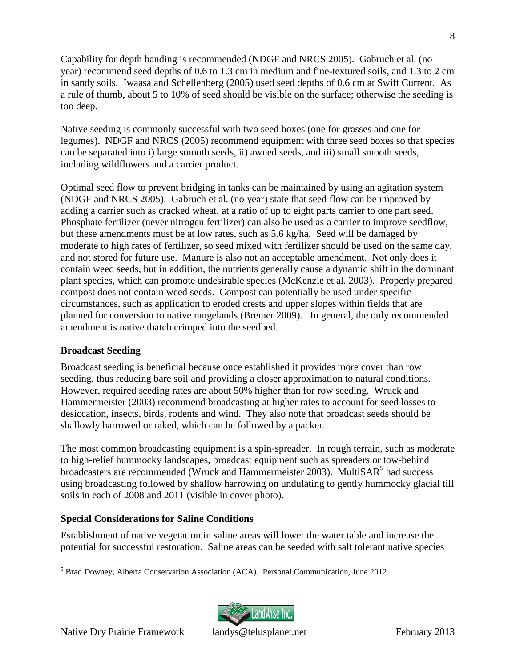Capability for depth banding is recommended (NDGF and NRCS 2005). Gabruch et al. (no year) recommend seed depths of 0.6 to 1.3 cm in medium and fine-textured soils, and 1.3 to 2 cm in sandy soils. Iwaasa and Schellenberg (2005) used seed depths of 0.6 cm at Swift Current. As a rule of thumb, about 5 to 10% of seed should be visible on the surface; otherwise the seeding is too deep.

Native seeding is commonly successful with two seed boxes (one for grasses and one for legumes). NDGF and NRCS (2005) recommend equipment with three seed boxes so that species can be separated into i) large smooth seeds, ii) awned seeds, and iii) small smooth seeds, including wildflowers and a carrier product.

Optimal seed flow to prevent bridging in tanks can be maintained by using an agitation system (NDGF and NRCS 2005). Gabruch et al. (no year) state that seed flow can be improved by adding a carrier such as cracked wheat, at a ratio of up to eight parts carrier to one part seed. Phosphate fertilizer (never nitrogen fertilizer) can also be used as a carrier to improve seedflow, but these amendments must be at low rates, such as 5.6 kg/ha. Seed will be damaged by moderate to high rates of fertilizer, so seed mixed with fertilizer should be used on the same day, and not stored for future use. Manure is also not an acceptable amendment. Not only does it contain weed seeds, but in addition, the nutrients generally cause a dynamic shift in the dominant plant species, which can promote undesirable species (McKenzie et al. 2003). Properly prepared compost does not contain weed seeds. Compost can potentially be used under specific circumstances, such as application to eroded crests and upper slopes within fields that are planned for conversion to native rangelands (Bremer 2009). In general, the only recommended amendment is native thatch crimped into the seedbed.

#### <span id="page-11-0"></span>**Broadcast Seeding**

Broadcast seeding is beneficial because once established it provides more cover than row seeding, thus reducing bare soil and providing a closer approximation to natural conditions. However, required seeding rates are about 50% higher than for row seeding. Wruck and Hammermeister (2003) recommend broadcasting at higher rates to account for seed losses to desiccation, insects, birds, rodents and wind. They also note that broadcast seeds should be shallowly harrowed or raked, which can be followed by a packer.

The most common broadcasting equipment is a spin-spreader. In rough terrain, such as moderate to high-relief hummocky landscapes, broadcast equipment such as spreaders or tow-behind broadcasters are recommended (Wruck and Hammermeister 2003). MultiSAR<sup>[5](#page-11-2)</sup> had success using broadcasting followed by shallow harrowing on undulating to gently hummocky glacial till soils in each of 2008 and 2011 (visible in cover photo).

## <span id="page-11-1"></span>**Special Considerations for Saline Conditions**

Establishment of native vegetation in saline areas will lower the water table and increase the potential for successful restoration. Saline areas can be seeded with salt tolerant native species

<span id="page-11-2"></span><sup>5</sup> Brad Downey, Alberta Conservation Association (ACA). Personal Communication, June 2012.

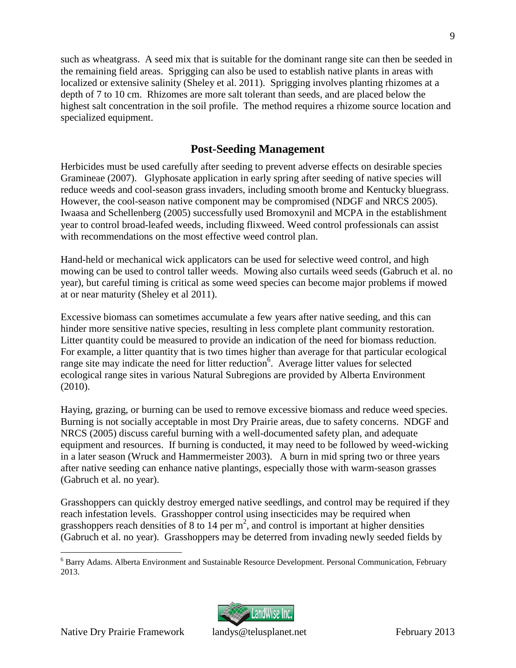such as wheatgrass. A seed mix that is suitable for the dominant range site can then be seeded in the remaining field areas. Sprigging can also be used to establish native plants in areas with localized or extensive salinity (Sheley et al. 2011). Sprigging involves planting rhizomes at a depth of 7 to 10 cm. Rhizomes are more salt tolerant than seeds, and are placed below the highest salt concentration in the soil profile. The method requires a rhizome source location and specialized equipment.

## <span id="page-12-0"></span>**Post-Seeding Management**

Herbicides must be used carefully after seeding to prevent adverse effects on desirable species Gramineae (2007). Glyphosate application in early spring after seeding of native species will reduce weeds and cool-season grass invaders, including smooth brome and Kentucky bluegrass. However, the cool-season native component may be compromised (NDGF and NRCS 2005). Iwaasa and Schellenberg (2005) successfully used Bromoxynil and MCPA in the establishment year to control broad-leafed weeds, including flixweed. Weed control professionals can assist with recommendations on the most effective weed control plan.

Hand-held or mechanical wick applicators can be used for selective weed control, and high mowing can be used to control taller weeds. Mowing also curtails weed seeds (Gabruch et al. no year), but careful timing is critical as some weed species can become major problems if mowed at or near maturity (Sheley et al 2011).

Excessive biomass can sometimes accumulate a few years after native seeding, and this can hinder more sensitive native species, resulting in less complete plant community restoration. Litter quantity could be measured to provide an indication of the need for biomass reduction. For example, a litter quantity that is two times higher than average for that particular ecological range site may indicate the need for litter reduction<sup>6</sup>[.](#page-12-1) Average litter values for selected ecological range sites in various Natural Subregions are provided by Alberta Environment (2010).

Haying, grazing, or burning can be used to remove excessive biomass and reduce weed species. Burning is not socially acceptable in most Dry Prairie areas, due to safety concerns. NDGF and NRCS (2005) discuss careful burning with a well-documented safety plan, and adequate equipment and resources. If burning is conducted, it may need to be followed by weed-wicking in a later season (Wruck and Hammermeister 2003). A burn in mid spring two or three years after native seeding can enhance native plantings, especially those with warm-season grasses (Gabruch et al. no year).

Grasshoppers can quickly destroy emerged native seedlings, and control may be required if they reach infestation levels. Grasshopper control using insecticides may be required when grasshoppers reach densities of 8 to 14 per  $m^2$ , and control is important at higher densities (Gabruch et al. no year). Grasshoppers may be deterred from invading newly seeded fields by

<span id="page-12-1"></span><sup>6</sup> Barry Adams. Alberta Environment and Sustainable Resource Development. Personal Communication, February 2013.

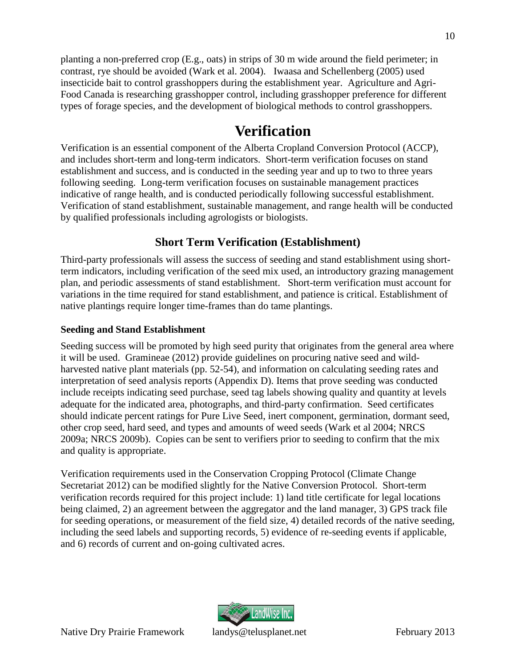planting a non-preferred crop (E.g., oats) in strips of 30 m wide around the field perimeter; in contrast, rye should be avoided (Wark et al. 2004). Iwaasa and Schellenberg (2005) used insecticide bait to control grasshoppers during the establishment year. Agriculture and Agri-Food Canada is researching grasshopper control, including grasshopper preference for different types of forage species, and the development of biological methods to control grasshoppers.

## <span id="page-13-0"></span>**Verification**

Verification is an essential component of the Alberta Cropland Conversion Protocol (ACCP), and includes short-term and long-term indicators. Short-term verification focuses on stand establishment and success, and is conducted in the seeding year and up to two to three years following seeding. Long-term verification focuses on sustainable management practices indicative of range health, and is conducted periodically following successful establishment. Verification of stand establishment, sustainable management, and range health will be conducted by qualified professionals including agrologists or biologists.

## <span id="page-13-1"></span>**Short Term Verification (Establishment)**

Third-party professionals will assess the success of seeding and stand establishment using shortterm indicators, including verification of the seed mix used, an introductory grazing management plan, and periodic assessments of stand establishment. Short-term verification must account for variations in the time required for stand establishment, and patience is critical. Establishment of native plantings require longer time-frames than do tame plantings.

### <span id="page-13-2"></span>**Seeding and Stand Establishment**

Seeding success will be promoted by high seed purity that originates from the general area where it will be used. Gramineae (2012) provide guidelines on procuring native seed and wildharvested native plant materials (pp. 52-54), and information on calculating seeding rates and interpretation of seed analysis reports (Appendix D). Items that prove seeding was conducted include receipts indicating seed purchase, seed tag labels showing quality and quantity at levels adequate for the indicated area, photographs, and third-party confirmation. Seed certificates should indicate percent ratings for Pure Live Seed, inert component, germination, dormant seed, other crop seed, hard seed, and types and amounts of weed seeds (Wark et al 2004; NRCS 2009a; NRCS 2009b). Copies can be sent to verifiers prior to seeding to confirm that the mix and quality is appropriate.

Verification requirements used in the Conservation Cropping Protocol (Climate Change Secretariat 2012) can be modified slightly for the Native Conversion Protocol. Short-term verification records required for this project include: 1) land title certificate for legal locations being claimed, 2) an agreement between the aggregator and the land manager, 3) GPS track file for seeding operations, or measurement of the field size, 4) detailed records of the native seeding, including the seed labels and supporting records, 5) evidence of re-seeding events if applicable, and 6) records of current and on-going cultivated acres.

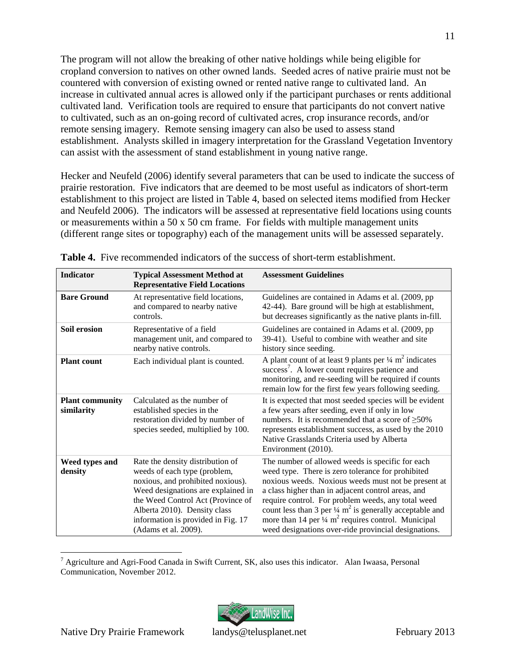The program will not allow the breaking of other native holdings while being eligible for cropland conversion to natives on other owned lands. Seeded acres of native prairie must not be countered with conversion of existing owned or rented native range to cultivated land. An increase in cultivated annual acres is allowed only if the participant purchases or rents additional cultivated land. Verification tools are required to ensure that participants do not convert native to cultivated, such as an on-going record of cultivated acres, crop insurance records, and/or remote sensing imagery. Remote sensing imagery can also be used to assess stand establishment. Analysts skilled in imagery interpretation for the Grassland Vegetation Inventory can assist with the assessment of stand establishment in young native range.

Hecker and Neufeld (2006) identify several parameters that can be used to indicate the success of prairie restoration. Five indicators that are deemed to be most useful as indicators of short-term establishment to this project are listed in Table 4, based on selected items modified from Hecker and Neufeld 2006). The indicators will be assessed at representative field locations using counts or measurements within a 50 x 50 cm frame. For fields with multiple management units (different range sites or topography) each of the management units will be assessed separately.

| <b>Indicator</b>                     | <b>Typical Assessment Method at</b><br><b>Representative Field Locations</b>                                                                                                                                                                                                   | <b>Assessment Guidelines</b>                                                                                                                                                                                                                                                                                                                                                                                                                                                                    |
|--------------------------------------|--------------------------------------------------------------------------------------------------------------------------------------------------------------------------------------------------------------------------------------------------------------------------------|-------------------------------------------------------------------------------------------------------------------------------------------------------------------------------------------------------------------------------------------------------------------------------------------------------------------------------------------------------------------------------------------------------------------------------------------------------------------------------------------------|
| <b>Bare Ground</b>                   | At representative field locations,<br>and compared to nearby native<br>controls.                                                                                                                                                                                               | Guidelines are contained in Adams et al. (2009, pp<br>42-44). Bare ground will be high at establishment,<br>but decreases significantly as the native plants in-fill.                                                                                                                                                                                                                                                                                                                           |
| Soil erosion                         | Representative of a field<br>management unit, and compared to<br>nearby native controls.                                                                                                                                                                                       | Guidelines are contained in Adams et al. (2009, pp<br>39-41). Useful to combine with weather and site<br>history since seeding.                                                                                                                                                                                                                                                                                                                                                                 |
| <b>Plant count</b>                   | Each individual plant is counted.                                                                                                                                                                                                                                              | A plant count of at least 9 plants per $\frac{1}{4}$ m <sup>2</sup> indicates<br>success <sup>7</sup> . A lower count requires patience and<br>monitoring, and re-seeding will be required if counts<br>remain low for the first few years following seeding.                                                                                                                                                                                                                                   |
| <b>Plant community</b><br>similarity | Calculated as the number of<br>established species in the<br>restoration divided by number of<br>species seeded, multiplied by 100.                                                                                                                                            | It is expected that most seeded species will be evident<br>a few years after seeding, even if only in low<br>numbers. It is recommended that a score of $\geq$ 50%<br>represents establishment success, as used by the 2010<br>Native Grasslands Criteria used by Alberta<br>Environment (2010).                                                                                                                                                                                                |
| Weed types and<br>density            | Rate the density distribution of<br>weeds of each type (problem,<br>noxious, and prohibited noxious).<br>Weed designations are explained in<br>the Weed Control Act (Province of<br>Alberta 2010). Density class<br>information is provided in Fig. 17<br>(Adams et al. 2009). | The number of allowed weeds is specific for each<br>weed type. There is zero tolerance for prohibited<br>noxious weeds. Noxious weeds must not be present at<br>a class higher than in adjacent control areas, and<br>require control. For problem weeds, any total weed<br>count less than 3 per $\frac{1}{4}$ m <sup>2</sup> is generally acceptable and<br>more than 14 per $\frac{1}{4}$ m <sup>2</sup> requires control. Municipal<br>weed designations over-ride provincial designations. |

<span id="page-14-0"></span>

| <b>Table 4.</b> Five recommended indicators of the success of short-term establishment. |
|-----------------------------------------------------------------------------------------|
|-----------------------------------------------------------------------------------------|

<span id="page-14-1"></span> $<sup>7</sup>$  Agriculture and Agri-Food Canada in Swift Current, SK, also uses this indicator. Alan Iwaasa, Personal</sup> Communication, November 2012.

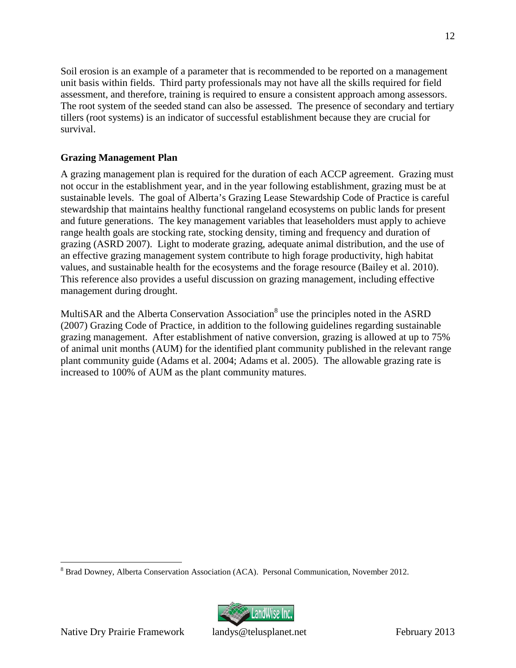Soil erosion is an example of a parameter that is recommended to be reported on a management unit basis within fields. Third party professionals may not have all the skills required for field assessment, and therefore, training is required to ensure a consistent approach among assessors. The root system of the seeded stand can also be assessed. The presence of secondary and tertiary tillers (root systems) is an indicator of successful establishment because they are crucial for survival.

#### <span id="page-15-0"></span>**Grazing Management Plan**

A grazing management plan is required for the duration of each ACCP agreement. Grazing must not occur in the establishment year, and in the year following establishment, grazing must be at sustainable levels. The goal of Alberta's Grazing Lease Stewardship Code of Practice is careful stewardship that maintains healthy functional rangeland ecosystems on public lands for present and future generations. The key management variables that leaseholders must apply to achieve range health goals are stocking rate, stocking density, timing and frequency and duration of grazing (ASRD 2007). Light to moderate grazing, adequate animal distribution, and the use of an effective grazing management system contribute to high forage productivity, high habitat values, and sustainable health for the ecosystems and the forage resource (Bailey et al. 2010). This reference also provides a useful discussion on grazing management, including effective management during drought.

MultiSAR and the Alberta Conservation Association<sup>[8](#page-15-1)</sup> use the principles noted in the ASRD (2007) Grazing Code of Practice, in addition to the following guidelines regarding sustainable grazing management. After establishment of native conversion, grazing is allowed at up to 75% of animal unit months (AUM) for the identified plant community published in the relevant range plant community guide (Adams et al. 2004; Adams et al. 2005). The allowable grazing rate is increased to 100% of AUM as the plant community matures.

<span id="page-15-1"></span><sup>8</sup> Brad Downey, Alberta Conservation Association (ACA). Personal Communication, November 2012.

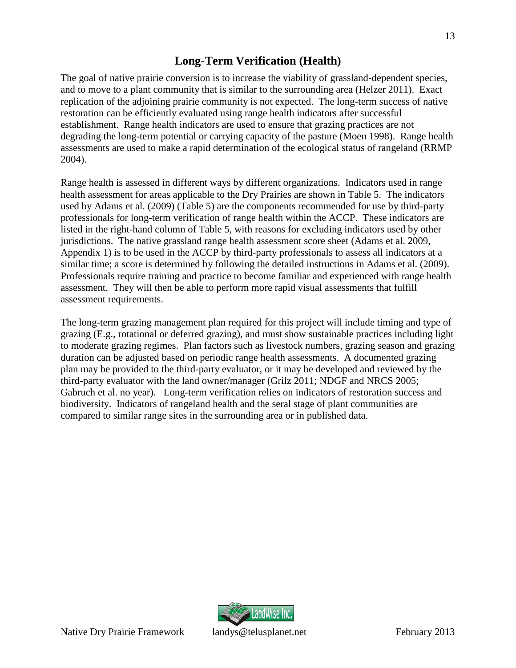## <span id="page-16-0"></span>**Long-Term Verification (Health)**

The goal of native prairie conversion is to increase the viability of grassland-dependent species, and to move to a plant community that is similar to the surrounding area (Helzer 2011). Exact replication of the adjoining prairie community is not expected. The long-term success of native restoration can be efficiently evaluated using range health indicators after successful establishment. Range health indicators are used to ensure that grazing practices are not degrading the long-term potential or carrying capacity of the pasture (Moen 1998). Range health assessments are used to make a rapid determination of the ecological status of rangeland (RRMP 2004).

Range health is assessed in different ways by different organizations. Indicators used in range health assessment for areas applicable to the Dry Prairies are shown in Table 5. The indicators used by Adams et al. (2009) (Table 5) are the components recommended for use by third-party professionals for long-term verification of range health within the ACCP. These indicators are listed in the right-hand column of Table 5, with reasons for excluding indicators used by other jurisdictions. The native grassland range health assessment score sheet (Adams et al. 2009, Appendix 1) is to be used in the ACCP by third-party professionals to assess all indicators at a similar time; a score is determined by following the detailed instructions in Adams et al. (2009). Professionals require training and practice to become familiar and experienced with range health assessment. They will then be able to perform more rapid visual assessments that fulfill assessment requirements.

The long-term grazing management plan required for this project will include timing and type of grazing (E.g., rotational or deferred grazing), and must show sustainable practices including light to moderate grazing regimes. Plan factors such as livestock numbers, grazing season and grazing duration can be adjusted based on periodic range health assessments. A documented grazing plan may be provided to the third-party evaluator, or it may be developed and reviewed by the third-party evaluator with the land owner/manager (Grilz 2011; NDGF and NRCS 2005; Gabruch et al. no year). Long-term verification relies on indicators of restoration success and biodiversity. Indicators of rangeland health and the seral stage of plant communities are compared to similar range sites in the surrounding area or in published data.

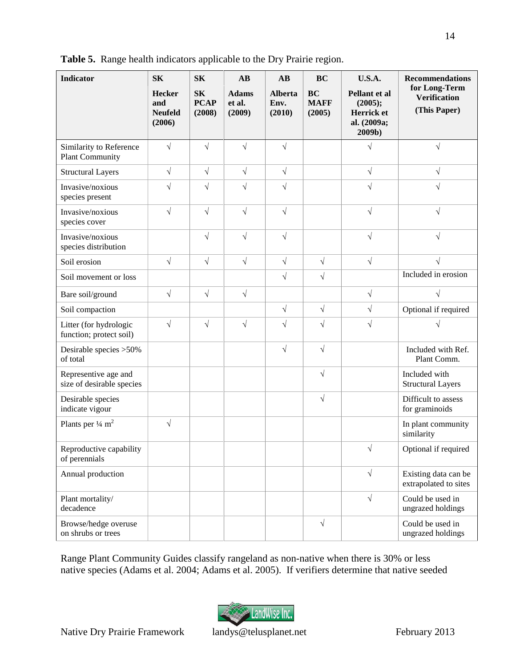| <b>Indicator</b>                                  | <b>SK</b>                                        | <b>SK</b>                          | $\mathbf{A}\mathbf{B}$           | $\mathbf{A}\mathbf{B}$    | <b>BC</b>                          | <b>U.S.A.</b>                                                   | <b>Recommendations</b>                               |
|---------------------------------------------------|--------------------------------------------------|------------------------------------|----------------------------------|---------------------------|------------------------------------|-----------------------------------------------------------------|------------------------------------------------------|
|                                                   | <b>Hecker</b><br>and<br><b>Neufeld</b><br>(2006) | <b>SK</b><br><b>PCAP</b><br>(2008) | <b>Adams</b><br>et al.<br>(2009) | Alberta<br>Env.<br>(2010) | <b>BC</b><br><b>MAFF</b><br>(2005) | Pellant et al<br>(2005);<br>Herrick et<br>al. (2009a;<br>2009b) | for Long-Term<br><b>Verification</b><br>(This Paper) |
| Similarity to Reference<br><b>Plant Community</b> | $\sqrt{}$                                        | $\sqrt{}$                          | $\sqrt{}$                        | $\sqrt{}$                 |                                    | $\sqrt{}$                                                       | $\sqrt{}$                                            |
| <b>Structural Layers</b>                          | $\sqrt{}$                                        | $\sqrt{}$                          | $\sqrt{}$                        | $\sqrt{}$                 |                                    | $\sqrt{}$                                                       | $\sqrt{}$                                            |
| Invasive/noxious<br>species present               | $\sqrt{}$                                        | $\sqrt{}$                          | $\sqrt{}$                        | $\sqrt{}$                 |                                    | $\sqrt{}$                                                       | $\sqrt{}$                                            |
| Invasive/noxious<br>species cover                 | $\sqrt{}$                                        | $\sqrt{2}$                         | $\sqrt{}$                        | $\sqrt{}$                 |                                    | $\sqrt{}$                                                       | $\sqrt{ }$                                           |
| Invasive/noxious<br>species distribution          |                                                  | $\sqrt{}$                          | $\sqrt{}$                        | $\sqrt{}$                 |                                    | $\sqrt{}$                                                       | $\sqrt{ }$                                           |
| Soil erosion                                      | $\sqrt{}$                                        | $\sqrt{}$                          | $\sqrt{ }$                       | $\sqrt{ }$                | $\sqrt{ }$                         | $\sqrt{}$                                                       |                                                      |
| Soil movement or loss                             |                                                  |                                    |                                  | $\sqrt{}$                 | $\sqrt{}$                          |                                                                 | Included in erosion                                  |
| Bare soil/ground                                  | $\sqrt{}$                                        | $\sqrt{}$                          | $\sqrt{}$                        |                           |                                    | $\sqrt{ }$                                                      | $\sqrt{}$                                            |
| Soil compaction                                   |                                                  |                                    |                                  | $\sqrt{}$                 | $\sqrt{ }$                         | $\sqrt{}$                                                       | Optional if required                                 |
| Litter (for hydrologic<br>function; protect soil) | $\sqrt{ }$                                       | $\sqrt{}$                          | $\sqrt{}$                        | $\sqrt{}$                 | $\sqrt{}$                          | $\sqrt{}$                                                       |                                                      |
| Desirable species >50%<br>of total                |                                                  |                                    |                                  | $\sqrt{}$                 | $\sqrt{ }$                         |                                                                 | Included with Ref.<br>Plant Comm.                    |
| Representive age and<br>size of desirable species |                                                  |                                    |                                  |                           | $\sqrt{}$                          |                                                                 | Included with<br><b>Structural Layers</b>            |
| Desirable species<br>indicate vigour              |                                                  |                                    |                                  |                           | $\sqrt{ }$                         |                                                                 | Difficult to assess<br>for graminoids                |
| Plants per $\frac{1}{4}$ m <sup>2</sup>           | $\sqrt{}$                                        |                                    |                                  |                           |                                    |                                                                 | In plant community<br>similarity                     |
| Reproductive capability<br>of perennials          |                                                  |                                    |                                  |                           |                                    | $\perp$<br>V                                                    | Optional if required                                 |
| Annual production                                 |                                                  |                                    |                                  |                           |                                    | $\sqrt{ }$                                                      | Existing data can be<br>extrapolated to sites        |
| Plant mortality/<br>decadence                     |                                                  |                                    |                                  |                           |                                    | $\sqrt{ }$                                                      | Could be used in<br>ungrazed holdings                |
| Browse/hedge overuse<br>on shrubs or trees        |                                                  |                                    |                                  |                           | $\sqrt{ }$                         |                                                                 | Could be used in<br>ungrazed holdings                |

<span id="page-17-0"></span>**Table 5.** Range health indicators applicable to the Dry Prairie region.

Range Plant Community Guides classify rangeland as non-native when there is 30% or less native species (Adams et al. 2004; Adams et al. 2005). If verifiers determine that native seeded

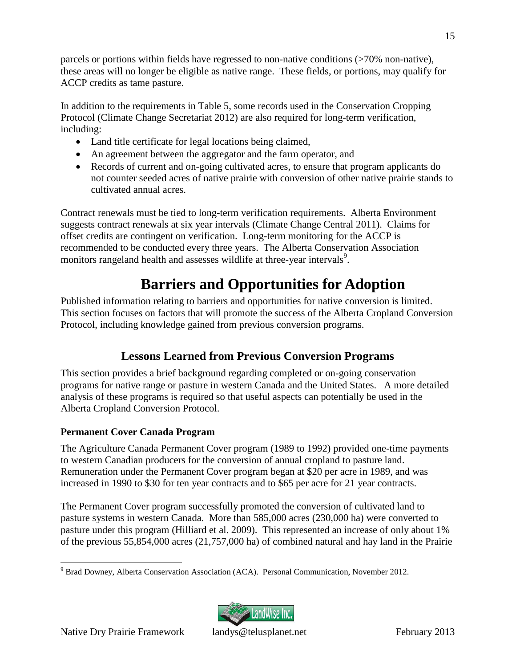parcels or portions within fields have regressed to non-native conditions (>70% non-native), these areas will no longer be eligible as native range. These fields, or portions, may qualify for ACCP credits as tame pasture.

In addition to the requirements in Table 5, some records used in the Conservation Cropping Protocol (Climate Change Secretariat 2012) are also required for long-term verification, including:

- Land title certificate for legal locations being claimed,
- An agreement between the aggregator and the farm operator, and
- Records of current and on-going cultivated acres, to ensure that program applicants do not counter seeded acres of native prairie with conversion of other native prairie stands to cultivated annual acres.

Contract renewals must be tied to long-term verification requirements. Alberta Environment suggests contract renewals at six year intervals (Climate Change Central 2011). Claims for offset credits are contingent on verification. Long-term monitoring for the ACCP is recommended to be conducted every three years. The Alberta Conservation Association monitors rangeland health and assesses wildlife at three-year intervals<sup>[9](#page-18-3)</sup>.

# <span id="page-18-0"></span>**Barriers and Opportunities for Adoption**

Published information relating to barriers and opportunities for native conversion is limited. This section focuses on factors that will promote the success of the Alberta Cropland Conversion Protocol, including knowledge gained from previous conversion programs.

## <span id="page-18-1"></span>**Lessons Learned from Previous Conversion Programs**

This section provides a brief background regarding completed or on-going conservation programs for native range or pasture in western Canada and the United States. A more detailed analysis of these programs is required so that useful aspects can potentially be used in the Alberta Cropland Conversion Protocol.

## <span id="page-18-2"></span>**Permanent Cover Canada Program**

The Agriculture Canada Permanent Cover program (1989 to 1992) provided one-time payments to western Canadian producers for the conversion of annual cropland to pasture land. Remuneration under the Permanent Cover program began at \$20 per acre in 1989, and was increased in 1990 to \$30 for ten year contracts and to \$65 per acre for 21 year contracts.

The Permanent Cover program successfully promoted the conversion of cultivated land to pasture systems in western Canada. More than 585,000 acres (230,000 ha) were converted to pasture under this program (Hilliard et al. 2009). This represented an increase of only about 1% of the previous 55,854,000 acres (21,757,000 ha) of combined natural and hay land in the Prairie

<span id="page-18-3"></span><sup>9</sup> Brad Downey, Alberta Conservation Association (ACA). Personal Communication, November 2012.

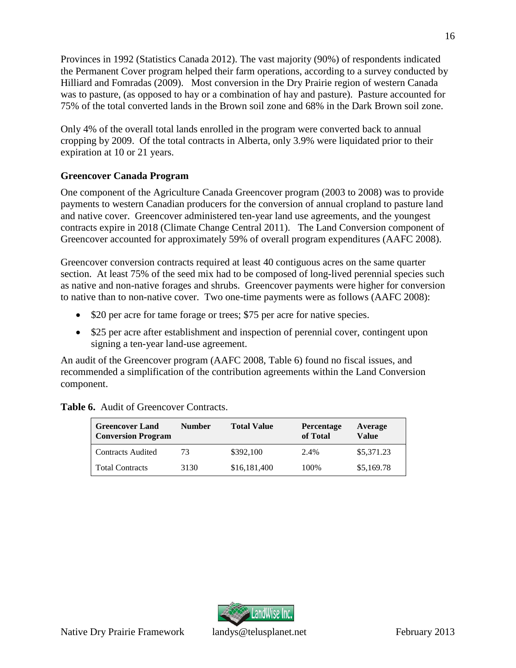Provinces in 1992 (Statistics Canada 2012). The vast majority (90%) of respondents indicated the Permanent Cover program helped their farm operations, according to a survey conducted by Hilliard and Fomradas (2009). Most conversion in the Dry Prairie region of western Canada was to pasture, (as opposed to hay or a combination of hay and pasture). Pasture accounted for 75% of the total converted lands in the Brown soil zone and 68% in the Dark Brown soil zone.

Only 4% of the overall total lands enrolled in the program were converted back to annual cropping by 2009. Of the total contracts in Alberta, only 3.9% were liquidated prior to their expiration at 10 or 21 years.

### <span id="page-19-0"></span>**Greencover Canada Program**

One component of the Agriculture Canada Greencover program (2003 to 2008) was to provide payments to western Canadian producers for the conversion of annual cropland to pasture land and native cover. Greencover administered ten-year land use agreements, and the youngest contracts expire in 2018 (Climate Change Central 2011). The Land Conversion component of Greencover accounted for approximately 59% of overall program expenditures (AAFC 2008).

Greencover conversion contracts required at least 40 contiguous acres on the same quarter section. At least 75% of the seed mix had to be composed of long-lived perennial species such as native and non-native forages and shrubs. Greencover payments were higher for conversion to native than to non-native cover. Two one-time payments were as follows (AAFC 2008):

- \$20 per acre for tame forage or trees; \$75 per acre for native species.
- \$25 per acre after establishment and inspection of perennial cover, contingent upon signing a ten-year land-use agreement.

An audit of the Greencover program (AAFC 2008, Table 6) found no fiscal issues, and recommended a simplification of the contribution agreements within the Land Conversion component.

| <b>Greencover Land</b><br><b>Conversion Program</b> | <b>Number</b> | <b>Total Value</b> | <b>Percentage</b><br>of Total | Average<br>Value |
|-----------------------------------------------------|---------------|--------------------|-------------------------------|------------------|
| <b>Contracts Audited</b>                            | 73            | \$392,100          | 2.4%                          | \$5,371.23       |
| <b>Total Contracts</b>                              | 3130          | \$16,181,400       | 100\%                         | \$5,169.78       |

<span id="page-19-1"></span>**Table 6.** Audit of Greencover Contracts.

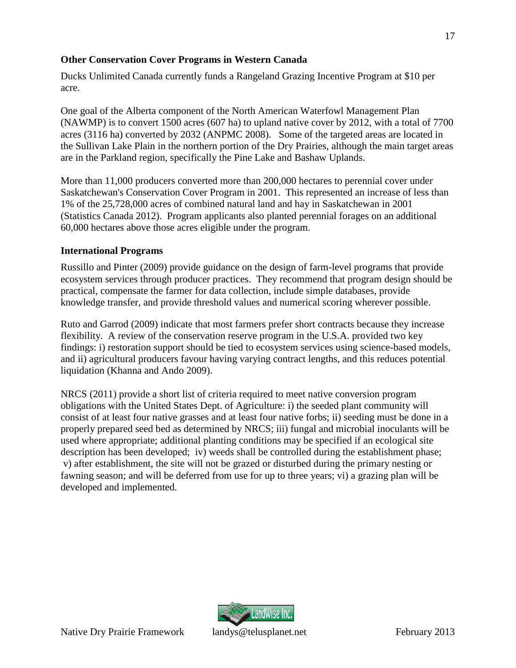#### <span id="page-20-0"></span>**Other Conservation Cover Programs in Western Canada**

Ducks Unlimited Canada currently funds a Rangeland Grazing Incentive Program at \$10 per acre.

One goal of the Alberta component of the North American Waterfowl Management Plan (NAWMP) is to convert 1500 acres (607 ha) to upland native cover by 2012, with a total of 7700 acres (3116 ha) converted by 2032 (ANPMC 2008). Some of the targeted areas are located in the Sullivan Lake Plain in the northern portion of the Dry Prairies, although the main target areas are in the Parkland region, specifically the Pine Lake and Bashaw Uplands.

More than 11,000 producers converted more than 200,000 hectares to perennial cover under Saskatchewan's Conservation Cover Program in 2001. This represented an increase of less than 1% of the 25,728,000 acres of combined natural land and hay in Saskatchewan in 2001 (Statistics Canada 2012). Program applicants also planted perennial forages on an additional 60,000 hectares above those acres eligible under the program.

#### <span id="page-20-1"></span>**International Programs**

Russillo and Pinter (2009) provide guidance on the design of farm-level programs that provide ecosystem services through producer practices. They recommend that program design should be practical, compensate the farmer for data collection, include simple databases, provide knowledge transfer, and provide threshold values and numerical scoring wherever possible.

Ruto and Garrod (2009) indicate that most farmers prefer short contracts because they increase flexibility. A review of the conservation reserve program in the U.S.A. provided two key findings: i) restoration support should be tied to ecosystem services using science-based models, and ii) agricultural producers favour having varying contract lengths, and this reduces potential liquidation (Khanna and Ando 2009).

NRCS (2011) provide a short list of criteria required to meet native conversion program obligations with the United States Dept. of Agriculture: i) the seeded plant community will consist of at least four native grasses and at least four native forbs; ii) seeding must be done in a properly prepared seed bed as determined by NRCS; iii) fungal and microbial inoculants will be used where appropriate; additional planting conditions may be specified if an ecological site description has been developed; iv) weeds shall be controlled during the establishment phase; v) after establishment, the site will not be grazed or disturbed during the primary nesting or fawning season; and will be deferred from use for up to three years; vi) a grazing plan will be developed and implemented.

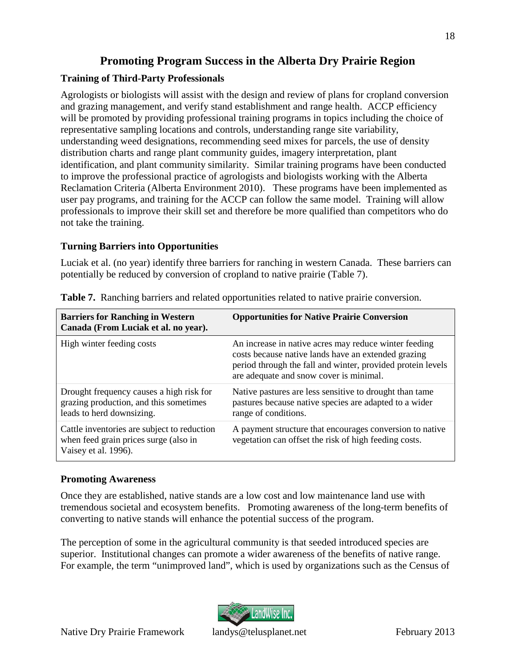## <span id="page-21-0"></span>**Promoting Program Success in the Alberta Dry Prairie Region**

### <span id="page-21-1"></span>**Training of Third-Party Professionals**

Agrologists or biologists will assist with the design and review of plans for cropland conversion and grazing management, and verify stand establishment and range health. ACCP efficiency will be promoted by providing professional training programs in topics including the choice of representative sampling locations and controls, understanding range site variability, understanding weed designations, recommending seed mixes for parcels, the use of density distribution charts and range plant community guides, imagery interpretation, plant identification, and plant community similarity. Similar training programs have been conducted to improve the professional practice of agrologists and biologists working with the Alberta Reclamation Criteria (Alberta Environment 2010). These programs have been implemented as user pay programs, and training for the ACCP can follow the same model. Training will allow professionals to improve their skill set and therefore be more qualified than competitors who do not take the training.

### <span id="page-21-2"></span>**Turning Barriers into Opportunities**

Luciak et al. (no year) identify three barriers for ranching in western Canada. These barriers can potentially be reduced by conversion of cropland to native prairie (Table 7).

| <b>Barriers for Ranching in Western</b><br>Canada (From Luciak et al. no year).                                 | <b>Opportunities for Native Prairie Conversion</b>                                                                                                                                                                     |
|-----------------------------------------------------------------------------------------------------------------|------------------------------------------------------------------------------------------------------------------------------------------------------------------------------------------------------------------------|
| High winter feeding costs                                                                                       | An increase in native acres may reduce winter feeding<br>costs because native lands have an extended grazing<br>period through the fall and winter, provided protein levels<br>are adequate and snow cover is minimal. |
| Drought frequency causes a high risk for<br>grazing production, and this sometimes<br>leads to herd downsizing. | Native pastures are less sensitive to drought than tame<br>pastures because native species are adapted to a wider<br>range of conditions.                                                                              |
| Cattle inventories are subject to reduction<br>when feed grain prices surge (also in<br>Vaisey et al. 1996).    | A payment structure that encourages conversion to native<br>vegetation can offset the risk of high feeding costs.                                                                                                      |

<span id="page-21-4"></span>**Table 7.** Ranching barriers and related opportunities related to native prairie conversion.

#### <span id="page-21-3"></span>**Promoting Awareness**

Once they are established, native stands are a low cost and low maintenance land use with tremendous societal and ecosystem benefits. Promoting awareness of the long-term benefits of converting to native stands will enhance the potential success of the program.

The perception of some in the agricultural community is that seeded introduced species are superior. Institutional changes can promote a wider awareness of the benefits of native range. For example, the term "unimproved land", which is used by organizations such as the Census of

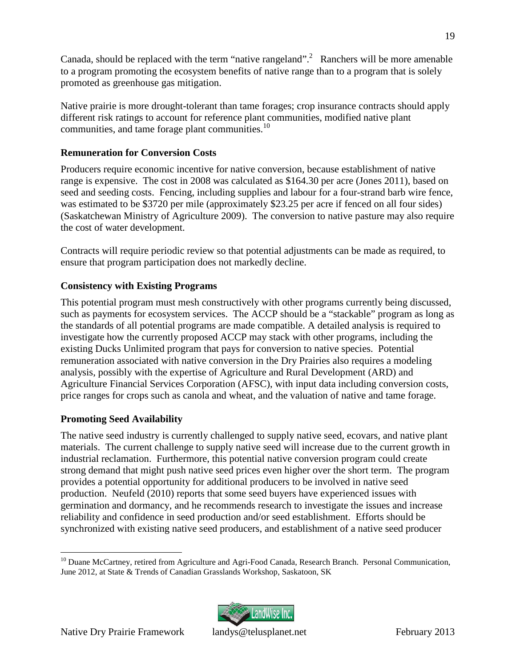Canada, should be replaced with the term "native rangeland".<sup>2</sup> Ranchers will be more amenable to a program promoting the ecosystem benefits of native range than to a program that is solely promoted as greenhouse gas mitigation.

Native prairie is more drought-tolerant than tame forages; crop insurance contracts should apply different risk ratings to account for reference plant communities, modified native plant communities, and tame forage plant communities.<sup>[10](#page-22-3)</sup>

## <span id="page-22-0"></span>**Remuneration for Conversion Costs**

Producers require economic incentive for native conversion, because establishment of native range is expensive. The cost in 2008 was calculated as \$164.30 per acre (Jones 2011), based on seed and seeding costs. Fencing, including supplies and labour for a four-strand barb wire fence, was estimated to be \$3720 per mile (approximately \$23.25 per acre if fenced on all four sides) (Saskatchewan Ministry of Agriculture 2009). The conversion to native pasture may also require the cost of water development.

Contracts will require periodic review so that potential adjustments can be made as required, to ensure that program participation does not markedly decline.

## <span id="page-22-1"></span>**Consistency with Existing Programs**

This potential program must mesh constructively with other programs currently being discussed, such as payments for ecosystem services. The ACCP should be a "stackable" program as long as the standards of all potential programs are made compatible. A detailed analysis is required to investigate how the currently proposed ACCP may stack with other programs, including the existing Ducks Unlimited program that pays for conversion to native species. Potential remuneration associated with native conversion in the Dry Prairies also requires a modeling analysis, possibly with the expertise of Agriculture and Rural Development (ARD) and Agriculture Financial Services Corporation (AFSC), with input data including conversion costs, price ranges for crops such as canola and wheat, and the valuation of native and tame forage.

## <span id="page-22-2"></span>**Promoting Seed Availability**

The native seed industry is currently challenged to supply native seed, ecovars, and native plant materials. The current challenge to supply native seed will increase due to the current growth in industrial reclamation. Furthermore, this potential native conversion program could create strong demand that might push native seed prices even higher over the short term. The program provides a potential opportunity for additional producers to be involved in native seed production. Neufeld (2010) reports that some seed buyers have experienced issues with germination and dormancy, and he recommends research to investigate the issues and increase reliability and confidence in seed production and/or seed establishment. Efforts should be synchronized with existing native seed producers, and establishment of a native seed producer

<span id="page-22-3"></span><sup>&</sup>lt;sup>10</sup> Duane McCartney, retired from Agriculture and Agri-Food Canada, Research Branch. Personal Communication, June 2012, at State & Trends of Canadian Grasslands Workshop, Saskatoon, SK

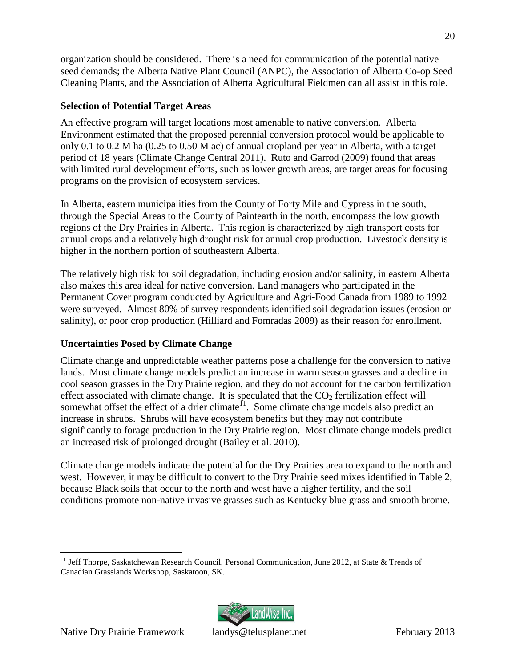organization should be considered. There is a need for communication of the potential native seed demands; the Alberta Native Plant Council (ANPC), the Association of Alberta Co-op Seed Cleaning Plants, and the Association of Alberta Agricultural Fieldmen can all assist in this role.

### <span id="page-23-0"></span>**Selection of Potential Target Areas**

An effective program will target locations most amenable to native conversion. Alberta Environment estimated that the proposed perennial conversion protocol would be applicable to only 0.1 to 0.2 M ha (0.25 to 0.50 M ac) of annual cropland per year in Alberta, with a target period of 18 years (Climate Change Central 2011). Ruto and Garrod (2009) found that areas with limited rural development efforts, such as lower growth areas, are target areas for focusing programs on the provision of ecosystem services.

In Alberta, eastern municipalities from the County of Forty Mile and Cypress in the south, through the Special Areas to the County of Paintearth in the north, encompass the low growth regions of the Dry Prairies in Alberta. This region is characterized by high transport costs for annual crops and a relatively high drought risk for annual crop production. Livestock density is higher in the northern portion of southeastern Alberta.

The relatively high risk for soil degradation, including erosion and/or salinity, in eastern Alberta also makes this area ideal for native conversion. Land managers who participated in the Permanent Cover program conducted by Agriculture and Agri-Food Canada from 1989 to 1992 were surveyed. Almost 80% of survey respondents identified soil degradation issues (erosion or salinity), or poor crop production (Hilliard and Fomradas 2009) as their reason for enrollment.

## <span id="page-23-1"></span>**Uncertainties Posed by Climate Change**

Climate change and unpredictable weather patterns pose a challenge for the conversion to native lands. Most climate change models predict an increase in warm season grasses and a decline in cool season grasses in the Dry Prairie region, and they do not account for the carbon fertilization effect associated with climate change. It is speculated that the  $CO<sub>2</sub>$  fertilization effect will somewhat offset the effect of a drier climate  $\hat{1}$ . Some climate change models also predict an increase in shrubs. Shrubs will have ecosystem benefits but they may not contribute significantly to forage production in the Dry Prairie region. Most climate change models predict an increased risk of prolonged drought (Bailey et al. 2010).

Climate change models indicate the potential for the Dry Prairies area to expand to the north and west. However, it may be difficult to convert to the Dry Prairie seed mixes identified in Table 2, because Black soils that occur to the north and west have a higher fertility, and the soil conditions promote non-native invasive grasses such as Kentucky blue grass and smooth brome.

<span id="page-23-2"></span><sup>&</sup>lt;sup>11</sup> Jeff Thorpe, Saskatchewan Research Council, Personal Communication, June 2012, at State & Trends of Canadian Grasslands Workshop, Saskatoon, SK.

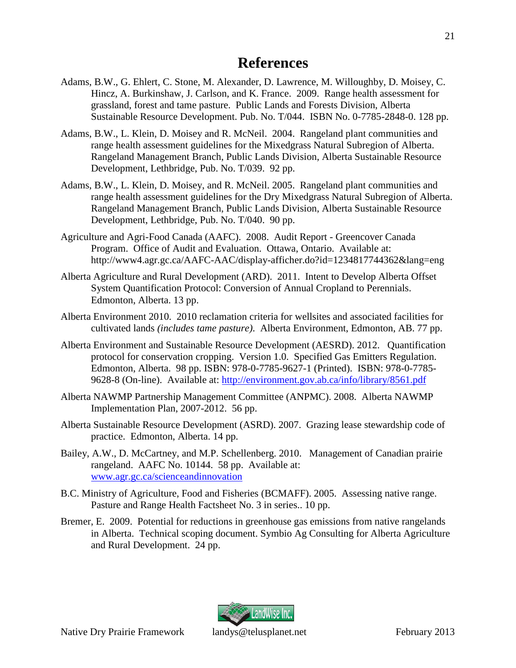- <span id="page-24-0"></span>Adams, B.W., G. Ehlert, C. Stone, M. Alexander, D. Lawrence, M. Willoughby, D. Moisey, C. Hincz, A. Burkinshaw, J. Carlson, and K. France. 2009. Range health assessment for grassland, forest and tame pasture. Public Lands and Forests Division, Alberta Sustainable Resource Development. Pub. No. T/044. ISBN No. 0-7785-2848-0. 128 pp.
- Adams, B.W., L. Klein, D. Moisey and R. McNeil. 2004. Rangeland plant communities and range health assessment guidelines for the Mixedgrass Natural Subregion of Alberta. Rangeland Management Branch, Public Lands Division, Alberta Sustainable Resource Development, Lethbridge, Pub. No. T/039. 92 pp.
- Adams, B.W., L. Klein, D. Moisey, and R. McNeil. 2005. Rangeland plant communities and range health assessment guidelines for the Dry Mixedgrass Natural Subregion of Alberta. Rangeland Management Branch, Public Lands Division, Alberta Sustainable Resource Development, Lethbridge, Pub. No. T/040. 90 pp.
- Agriculture and Agri-Food Canada (AAFC). 2008. Audit Report Greencover Canada Program. Office of Audit and Evaluation. Ottawa, Ontario. Available at: http://www4.agr.gc.ca/AAFC-AAC/display-afficher.do?id=1234817744362&lang=eng
- Alberta Agriculture and Rural Development (ARD). 2011. Intent to Develop Alberta Offset System Quantification Protocol: Conversion of Annual Cropland to Perennials. Edmonton, Alberta. 13 pp.
- Alberta Environment 2010. 2010 reclamation criteria for wellsites and associated facilities for cultivated lands *(includes tame pasture)*. Alberta Environment, Edmonton, AB. 77 pp.
- Alberta Environment and Sustainable Resource Development (AESRD). 2012. Quantification protocol for conservation cropping. Version 1.0. Specified Gas Emitters Regulation. Edmonton, Alberta. 98 pp. ISBN: 978-0-7785-9627-1 (Printed). ISBN: 978-0-7785- 9628-8 (On-line). Available at: http://environment.gov.ab.ca/info/library/8561.pdf
- Alberta NAWMP Partnership Management Committee (ANPMC). 2008. Alberta NAWMP Implementation Plan, 2007-2012. 56 pp.
- Alberta Sustainable Resource Development (ASRD). 2007. Grazing lease stewardship code of practice. Edmonton, Alberta. 14 pp.
- Bailey, A.W., D. McCartney, and M.P. Schellenberg. 2010. Management of Canadian prairie rangeland. AAFC No. 10144. 58 pp. Available at: www.agr.gc.ca/scienceandinnovation
- B.C. Ministry of Agriculture, Food and Fisheries (BCMAFF). 2005. Assessing native range. Pasture and Range Health Factsheet No. 3 in series.. 10 pp.
- Bremer, E. 2009. Potential for reductions in greenhouse gas emissions from native rangelands in Alberta. Technical scoping document. Symbio Ag Consulting for Alberta Agriculture and Rural Development. 24 pp.

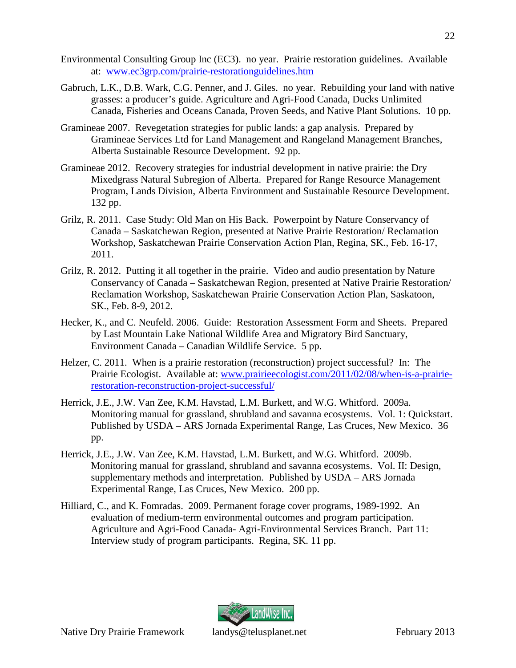- Environmental Consulting Group Inc (EC3). no year. Prairie restoration guidelines. Available at: www.ec3grp.com/prairie-restorationguidelines.htm
- Gabruch, L.K., D.B. Wark, C.G. Penner, and J. Giles. no year. Rebuilding your land with native grasses: a producer's guide. Agriculture and Agri-Food Canada, Ducks Unlimited Canada, Fisheries and Oceans Canada, Proven Seeds, and Native Plant Solutions. 10 pp.
- Gramineae 2007. Revegetation strategies for public lands: a gap analysis. Prepared by Gramineae Services Ltd for Land Management and Rangeland Management Branches, Alberta Sustainable Resource Development. 92 pp.
- Gramineae 2012. Recovery strategies for industrial development in native prairie: the Dry Mixedgrass Natural Subregion of Alberta. Prepared for Range Resource Management Program, Lands Division, Alberta Environment and Sustainable Resource Development. 132 pp.
- Grilz, R. 2011. Case Study: Old Man on His Back. Powerpoint by Nature Conservancy of Canada – Saskatchewan Region, presented at Native Prairie Restoration/ Reclamation Workshop, Saskatchewan Prairie Conservation Action Plan, Regina, SK., Feb. 16-17, 2011.
- Grilz, R. 2012. Putting it all together in the prairie. Video and audio presentation by Nature Conservancy of Canada – Saskatchewan Region, presented at Native Prairie Restoration/ Reclamation Workshop, Saskatchewan Prairie Conservation Action Plan, Saskatoon, SK., Feb. 8-9, 2012.
- Hecker, K., and C. Neufeld. 2006. Guide: Restoration Assessment Form and Sheets. Prepared by Last Mountain Lake National Wildlife Area and Migratory Bird Sanctuary, Environment Canada – Canadian Wildlife Service. 5 pp.
- Helzer, C. 2011. When is a prairie restoration (reconstruction) project successful? In: The Prairie Ecologist. Available at: www.prairieecologist.com/2011/02/08/when-is-a-prairierestoration-reconstruction-project-successful/
- Herrick, J.E., J.W. Van Zee, K.M. Havstad, L.M. Burkett, and W.G. Whitford. 2009a. Monitoring manual for grassland, shrubland and savanna ecosystems. Vol. 1: Quickstart. Published by USDA – ARS Jornada Experimental Range, Las Cruces, New Mexico. 36 pp.
- Herrick, J.E., J.W. Van Zee, K.M. Havstad, L.M. Burkett, and W.G. Whitford. 2009b. Monitoring manual for grassland, shrubland and savanna ecosystems. Vol. II: Design, supplementary methods and interpretation. Published by USDA – ARS Jornada Experimental Range, Las Cruces, New Mexico. 200 pp.
- Hilliard, C., and K. Fomradas. 2009. Permanent forage cover programs, 1989-1992. An evaluation of medium-term environmental outcomes and program participation. Agriculture and Agri-Food Canada- Agri-Environmental Services Branch. Part 11: Interview study of program participants. Regina, SK. 11 pp.

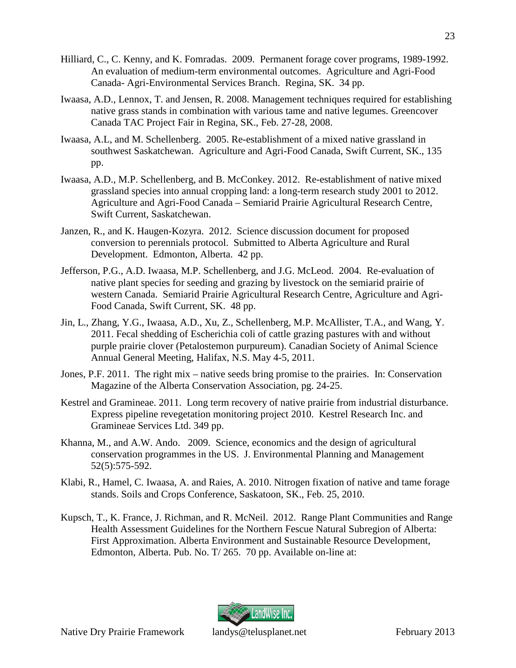- Hilliard, C., C. Kenny, and K. Fomradas. 2009. Permanent forage cover programs, 1989-1992. An evaluation of medium-term environmental outcomes. Agriculture and Agri-Food Canada- Agri-Environmental Services Branch. Regina, SK. 34 pp.
- Iwaasa, A.D., Lennox, T. and Jensen, R. 2008. Management techniques required for establishing native grass stands in combination with various tame and native legumes. Greencover Canada TAC Project Fair in Regina, SK., Feb. 27-28, 2008.
- Iwaasa, A.L, and M. Schellenberg. 2005. Re-establishment of a mixed native grassland in southwest Saskatchewan. Agriculture and Agri-Food Canada, Swift Current, SK., 135 pp.
- Iwaasa, A.D., M.P. Schellenberg, and B. McConkey. 2012. Re-establishment of native mixed grassland species into annual cropping land: a long-term research study 2001 to 2012. Agriculture and Agri-Food Canada – Semiarid Prairie Agricultural Research Centre, Swift Current, Saskatchewan.
- Janzen, R., and K. Haugen-Kozyra. 2012. Science discussion document for proposed conversion to perennials protocol. Submitted to Alberta Agriculture and Rural Development. Edmonton, Alberta. 42 pp.
- Jefferson, P.G., A.D. Iwaasa, M.P. Schellenberg, and J.G. McLeod. 2004. Re-evaluation of native plant species for seeding and grazing by livestock on the semiarid prairie of western Canada. Semiarid Prairie Agricultural Research Centre, Agriculture and Agri-Food Canada, Swift Current, SK. 48 pp.
- Jin, L., Zhang, Y.G., Iwaasa, A.D., Xu, Z., Schellenberg, M.P. McAllister, T.A., and Wang, Y. 2011. Fecal shedding of Escherichia coli of cattle grazing pastures with and without purple prairie clover (Petalostemon purpureum). Canadian Society of Animal Science Annual General Meeting, Halifax, N.S. May 4-5, 2011.
- Jones, P.F. 2011. The right mix native seeds bring promise to the prairies. In: Conservation Magazine of the Alberta Conservation Association, pg. 24-25.
- Kestrel and Gramineae. 2011. Long term recovery of native prairie from industrial disturbance. Express pipeline revegetation monitoring project 2010. Kestrel Research Inc. and Gramineae Services Ltd. 349 pp.
- Khanna, M., and A.W. Ando. 2009. Science, economics and the design of agricultural conservation programmes in the US. J. Environmental Planning and Management 52(5):575-592.
- Klabi, R., Hamel, C. Iwaasa, A. and Raies, A. 2010. Nitrogen fixation of native and tame forage stands. Soils and Crops Conference, Saskatoon, SK., Feb. 25, 2010.
- Kupsch, T., K. France, J. Richman, and R. McNeil. 2012. Range Plant Communities and Range Health Assessment Guidelines for the Northern Fescue Natural Subregion of Alberta: First Approximation. Alberta Environment and Sustainable Resource Development, Edmonton, Alberta. Pub. No. T/ 265. 70 pp. Available on-line at:

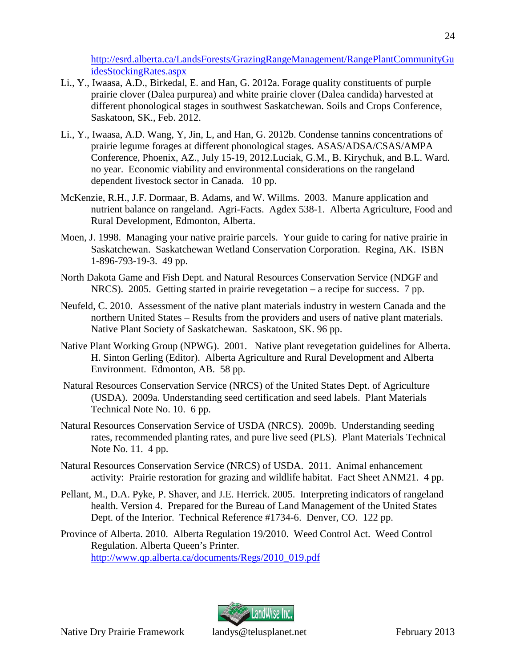http://esrd.alberta.ca/LandsForests/GrazingRangeManagement/RangePlantCommunityGu idesStockingRates.aspx

- Li., Y., Iwaasa, A.D., Birkedal, E. and Han, G. 2012a. Forage quality constituents of purple prairie clover (Dalea purpurea) and white prairie clover (Dalea candida) harvested at different phonological stages in southwest Saskatchewan. Soils and Crops Conference, Saskatoon, SK., Feb. 2012.
- Li., Y., Iwaasa, A.D. Wang, Y, Jin, L, and Han, G. 2012b. Condense tannins concentrations of prairie legume forages at different phonological stages. ASAS/ADSA/CSAS/AMPA Conference, Phoenix, AZ., July 15-19, 2012.Luciak, G.M., B. Kirychuk, and B.L. Ward. no year. Economic viability and environmental considerations on the rangeland dependent livestock sector in Canada. 10 pp.
- McKenzie, R.H., J.F. Dormaar, B. Adams, and W. Willms. 2003. Manure application and nutrient balance on rangeland. Agri-Facts. Agdex 538-1. Alberta Agriculture, Food and Rural Development, Edmonton, Alberta.
- Moen, J. 1998. Managing your native prairie parcels. Your guide to caring for native prairie in Saskatchewan. Saskatchewan Wetland Conservation Corporation. Regina, AK. ISBN 1-896-793-19-3. 49 pp.
- North Dakota Game and Fish Dept. and Natural Resources Conservation Service (NDGF and NRCS). 2005. Getting started in prairie revegetation – a recipe for success. 7 pp.
- Neufeld, C. 2010. Assessment of the native plant materials industry in western Canada and the northern United States – Results from the providers and users of native plant materials. Native Plant Society of Saskatchewan. Saskatoon, SK. 96 pp.
- Native Plant Working Group (NPWG). 2001. Native plant revegetation guidelines for Alberta. H. Sinton Gerling (Editor). Alberta Agriculture and Rural Development and Alberta Environment. Edmonton, AB. 58 pp.
- Natural Resources Conservation Service (NRCS) of the United States Dept. of Agriculture (USDA). 2009a. Understanding seed certification and seed labels. Plant Materials Technical Note No. 10. 6 pp.
- Natural Resources Conservation Service of USDA (NRCS). 2009b. Understanding seeding rates, recommended planting rates, and pure live seed (PLS). Plant Materials Technical Note No. 11. 4 pp.
- Natural Resources Conservation Service (NRCS) of USDA. 2011. Animal enhancement activity: Prairie restoration for grazing and wildlife habitat. Fact Sheet ANM21. 4 pp.
- Pellant, M., D.A. Pyke, P. Shaver, and J.E. Herrick. 2005. Interpreting indicators of rangeland health. Version 4. Prepared for the Bureau of Land Management of the United States Dept. of the Interior. Technical Reference #1734-6. Denver, CO. 122 pp.
- Province of Alberta. 2010. Alberta Regulation 19/2010. Weed Control Act. Weed Control Regulation. Alberta Queen's Printer. http://www.qp.alberta.ca/documents/Regs/2010\_019.pdf

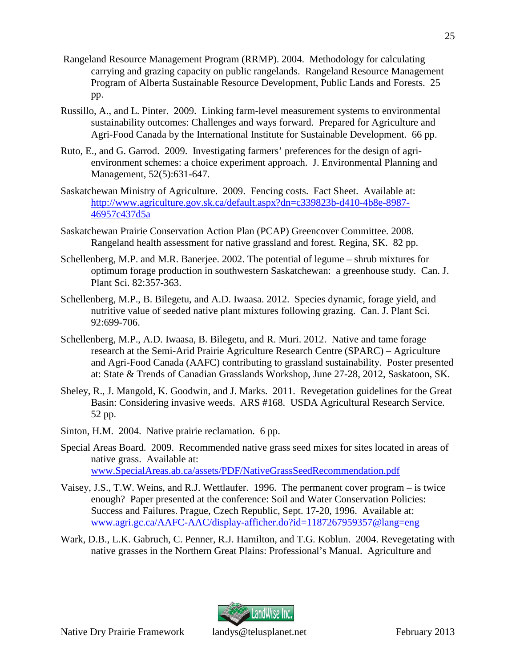- Rangeland Resource Management Program (RRMP). 2004. Methodology for calculating carrying and grazing capacity on public rangelands. Rangeland Resource Management Program of Alberta Sustainable Resource Development, Public Lands and Forests. 25 pp.
- Russillo, A., and L. Pinter. 2009. Linking farm-level measurement systems to environmental sustainability outcomes: Challenges and ways forward. Prepared for Agriculture and Agri-Food Canada by the International Institute for Sustainable Development. 66 pp.
- Ruto, E., and G. Garrod. 2009. Investigating farmers' preferences for the design of agrienvironment schemes: a choice experiment approach. J. Environmental Planning and Management, 52(5):631-647.
- Saskatchewan Ministry of Agriculture. 2009. Fencing costs. Fact Sheet. Available at: http://www.agriculture.gov.sk.ca/default.aspx?dn=c339823b-d410-4b8e-8987- 46957c437d5a
- Saskatchewan Prairie Conservation Action Plan (PCAP) Greencover Committee. 2008. Rangeland health assessment for native grassland and forest. Regina, SK. 82 pp.
- Schellenberg, M.P. and M.R. Banerjee. 2002. The potential of legume shrub mixtures for optimum forage production in southwestern Saskatchewan: a greenhouse study. Can. J. Plant Sci. 82:357-363.
- Schellenberg, M.P., B. Bilegetu, and A.D. Iwaasa. 2012. Species dynamic, forage yield, and nutritive value of seeded native plant mixtures following grazing. Can. J. Plant Sci. 92:699-706.
- Schellenberg, M.P., A.D. Iwaasa, B. Bilegetu, and R. Muri. 2012. Native and tame forage research at the Semi-Arid Prairie Agriculture Research Centre (SPARC) – Agriculture and Agri-Food Canada (AAFC) contributing to grassland sustainability. Poster presented at: State & Trends of Canadian Grasslands Workshop, June 27-28, 2012, Saskatoon, SK.
- Sheley, R., J. Mangold, K. Goodwin, and J. Marks. 2011. Revegetation guidelines for the Great Basin: Considering invasive weeds. ARS #168. USDA Agricultural Research Service. 52 pp.
- Sinton, H.M. 2004. Native prairie reclamation. 6 pp.
- Special Areas Board. 2009. Recommended native grass seed mixes for sites located in areas of native grass. Available at: www.SpecialAreas.ab.ca/assets/PDF/NativeGrassSeedRecommendation.pdf
- Vaisey, J.S., T.W. Weins, and R.J. Wettlaufer. 1996. The permanent cover program is twice enough? Paper presented at the conference: Soil and Water Conservation Policies: Success and Failures. Prague, Czech Republic, Sept. 17-20, 1996. Available at: www.agri.gc.ca/AAFC-AAC/display-afficher.do?id=1187267959357@lang=eng
- Wark, D.B., L.K. Gabruch, C. Penner, R.J. Hamilton, and T.G. Koblun. 2004. Revegetating with native grasses in the Northern Great Plains: Professional's Manual. Agriculture and

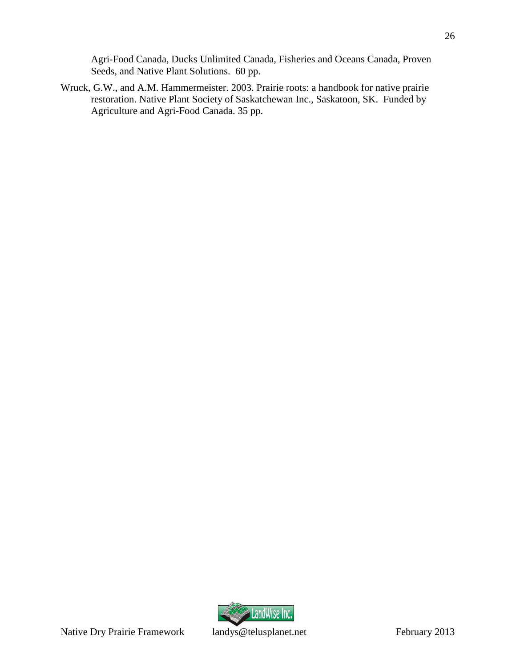Agri-Food Canada, Ducks Unlimited Canada, Fisheries and Oceans Canada, Proven Seeds, and Native Plant Solutions. 60 pp.

Wruck, G.W., and A.M. Hammermeister. 2003. Prairie roots: a handbook for native prairie restoration. Native Plant Society of Saskatchewan Inc., Saskatoon, SK. Funded by Agriculture and Agri-Food Canada. 35 pp.

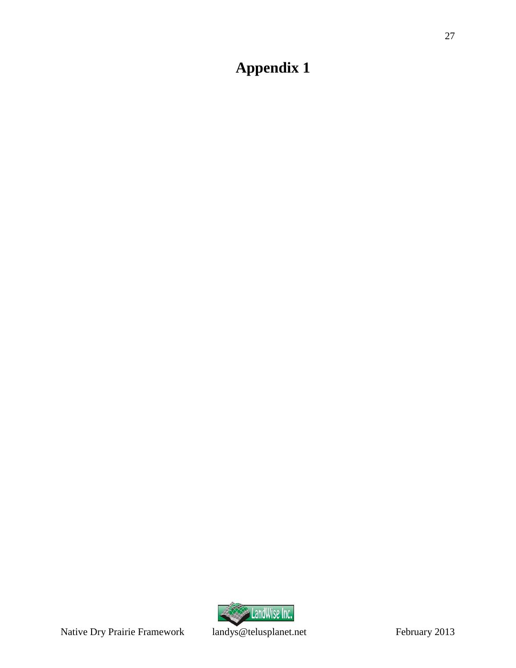# <span id="page-30-0"></span>**Appendix 1**